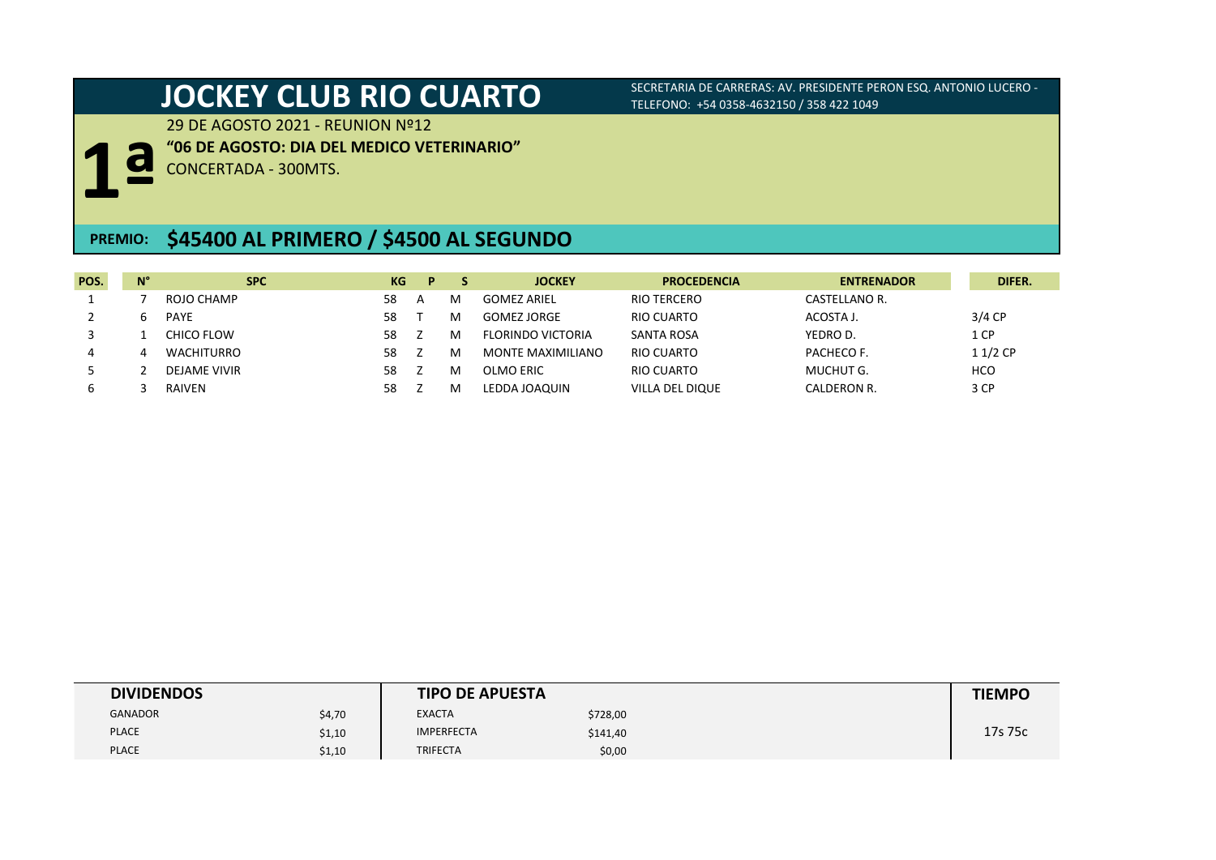**"06 DE AGOSTO: DIA DEL MEDICO VETERINARIO"**

**JOCKEY CLUB RIO CUARTO** SECRETARIA DE CARRERAS: AV. PRESIDENTE PERON ESQ. ANTONIO LUCERO -TELEFONO: +54 0358-4632150 / 358 422 1049

29 DE AGOSTO 2021 - REUNION Nº12



CONCERTADA - 300MTS.

# **PREMIO: \$45400 AL PRIMERO / \$4500 AL SEGUNDO**

| POS. | $N^{\circ}$ | <b>SPC</b>   | KG | D |   | <b>JOCKEY</b>            | <b>PROCEDENCIA</b> | <b>ENTRENADOR</b> | DIFER.     |
|------|-------------|--------------|----|---|---|--------------------------|--------------------|-------------------|------------|
|      |             | ROJO CHAMP   | 58 |   | м | <b>GOMEZ ARIEL</b>       | <b>RIO TERCERO</b> | CASTELLANO R.     |            |
|      | ь           | <b>PAYE</b>  | 58 |   | м | <b>GOMEZ JORGE</b>       | RIO CUARTO         | ACOSTA J.         | $3/4$ CP   |
|      |             | CHICO FLOW   | 58 |   | м | <b>FLORINDO VICTORIA</b> | SANTA ROSA         | YEDRO D.          | 1 CP       |
| 4    |             | WACHITURRO   | 58 |   | м | MONTE MAXIMILIANO        | RIO CUARTO         | PACHECO F.        | 11/2 CP    |
|      |             | DEJAME VIVIR | 58 |   | м | OLMO ERIC                | RIO CUARTO         | MUCHUT G.         | <b>HCO</b> |
| ь    |             | RAIVEN       | 58 |   | м | LEDDA JOAQUIN            | VILLA DEL DIQUE    | CALDERON R.       | 3 CP       |

| <b>DIVIDENDOS</b> |        | <b>TIPO DE APUESTA</b> |          | <b>TIEMPO</b> |
|-------------------|--------|------------------------|----------|---------------|
| <b>GANADOR</b>    | \$4,70 | <b>EXACTA</b>          | \$728,00 |               |
| <b>PLACE</b>      | \$1,10 | <b>IMPERFECTA</b>      | \$141,40 | 17s 75c       |
| <b>PLACE</b>      | \$1,10 | <b>TRIFECTA</b>        | \$0,00   |               |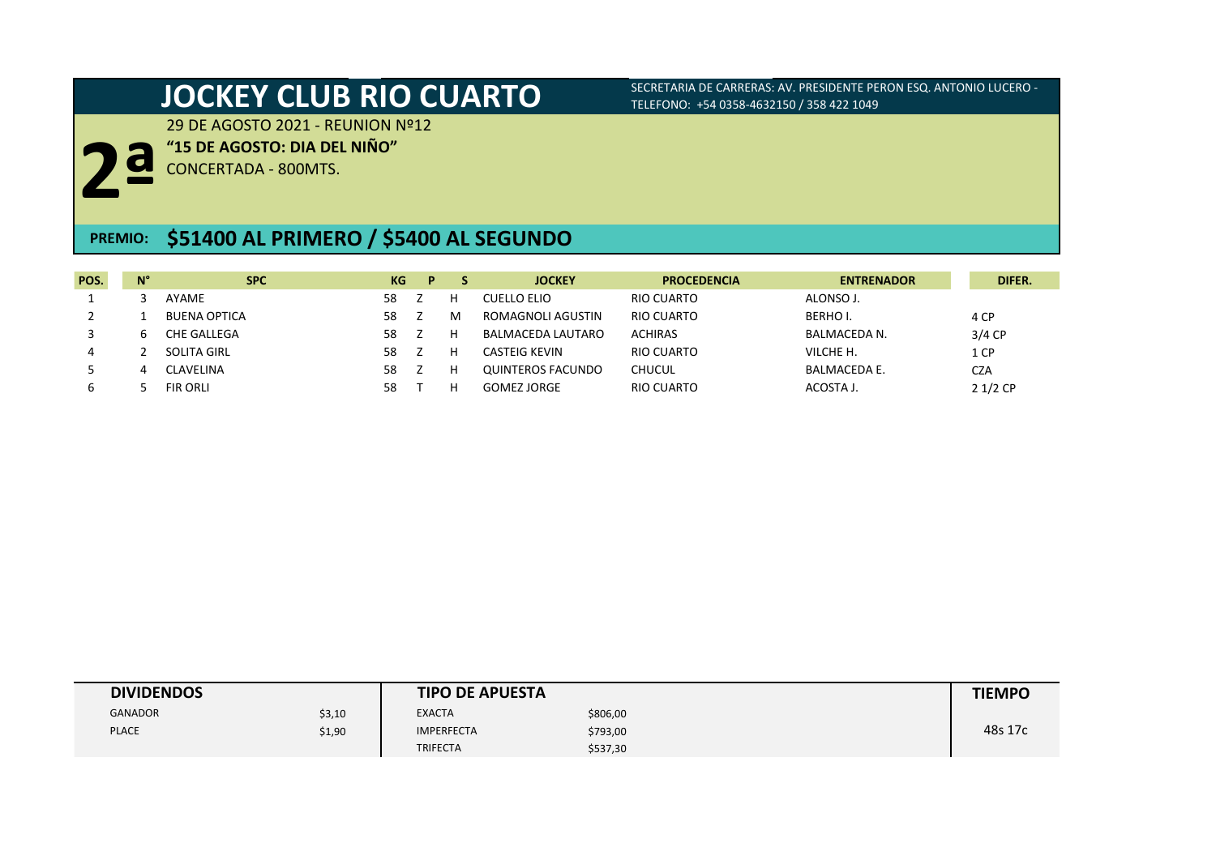29 DE AGOSTO 2021 - REUNION Nº12

**"15 DE AGOSTO: DIA DEL NIÑO"**

**2ª** CONCERTADA - 800MTS.

## **\$51400 AL PRIMERO / \$5400 AL SEGUNDO PREMIO:**

| POS. | $N^{\circ}$ | <b>SPC</b>          | KG | D |   | <b>JOCKEY</b>      | <b>PROCEDENCIA</b> | <b>ENTRENADOR</b>   | DIFER.     |
|------|-------------|---------------------|----|---|---|--------------------|--------------------|---------------------|------------|
|      |             | AYAME               | 58 |   |   | CUELLO ELIO        | RIO CUARTO         | ALONSO J.           |            |
|      |             | <b>BUENA OPTICA</b> | 58 |   | м | ROMAGNOLI AGUSTIN  | RIO CUARTO         | BERHOI.             | 4 CP       |
|      | ь           | CHE GALLEGA         | 58 |   |   | BALMACEDA LAUTARO  | <b>ACHIRAS</b>     | BALMACEDA N.        | $3/4$ CP   |
| 4    |             | SOLITA GIRL         | 58 |   | н | CASTEIG KEVIN      | RIO CUARTO         | VILCHE H.           | 1 CP       |
|      |             | CLAVELINA           | 58 |   |   | QUINTEROS FACUNDO  | <b>CHUCUL</b>      | <b>BALMACEDA E.</b> | <b>CZA</b> |
| ь    |             | <b>FIR ORLI</b>     | 58 |   |   | <b>GOMEZ JORGE</b> | RIO CUARTO         | ACOSTA J.           | $21/2$ CP  |

| <b>DIVIDENDOS</b> |        | <b>TIPO DE APUESTA</b> |          | <b>TIEMPO</b> |
|-------------------|--------|------------------------|----------|---------------|
| <b>GANADOR</b>    | \$3,10 | <b>EXACTA</b>          | \$806,00 |               |
| <b>PLACE</b>      | \$1,90 | <b>IMPERFECTA</b>      | \$793,00 | 48s 17c       |
|                   |        | <b>TRIFECTA</b>        | \$537,30 |               |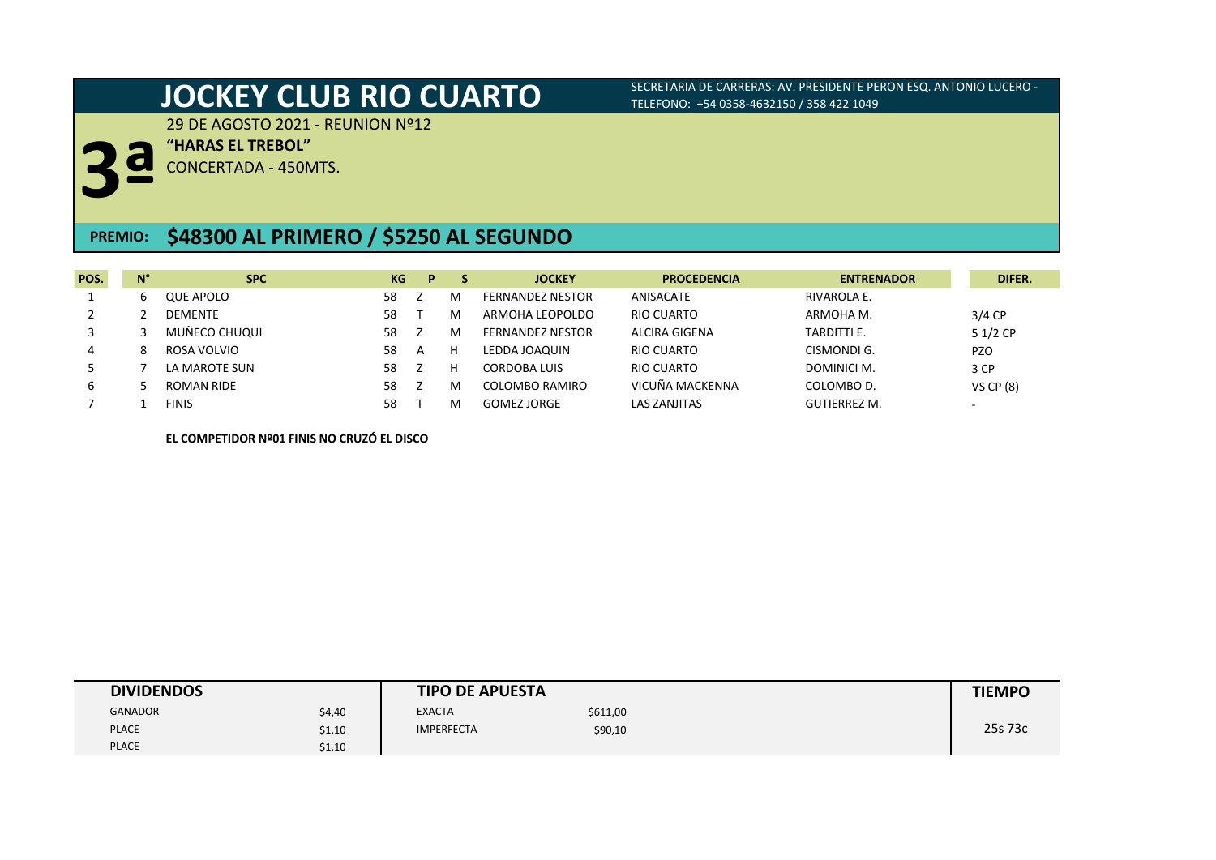29 DE AGOSTO 2021 - REUNION Nº12

**"HARAS EL TREBOL"**

**3ª** CONCERTADA - 450MTS.

# **PREMIO: \$48300 AL PRIMERO / \$5250 AL SEGUNDO**

| POS. | $N^{\circ}$ | <b>SPC</b>        | KG | P. |   | <b>JOCKEY</b>           | <b>PROCEDENCIA</b> | <b>ENTRENADOR</b>   | DIFER.                   |
|------|-------------|-------------------|----|----|---|-------------------------|--------------------|---------------------|--------------------------|
|      | ь           | QUE APOLO         | 58 |    | м | <b>FERNANDEZ NESTOR</b> | ANISACATE          | RIVAROLA E.         |                          |
|      |             | <b>DEMENTE</b>    | 58 |    | M | ARMOHA LEOPOLDO         | RIO CUARTO         | ARMOHA M.           | $3/4$ CP                 |
|      |             | MUÑECO CHUQUI     | 58 |    | м | <b>FERNANDEZ NESTOR</b> | ALCIRA GIGENA      | TARDITTI E.         | 5 1/2 CP                 |
| 4    | 8           | ROSA VOLVIO       | 58 |    |   | LEDDA JOAQUIN           | RIO CUARTO         | CISMONDI G.         | <b>PZO</b>               |
|      |             | LA MAROTE SUN     | 58 |    |   | CORDOBA LUIS            | RIO CUARTO         | DOMINICI M.         | 3 CP                     |
| 6    |             | <b>ROMAN RIDE</b> | 58 |    |   | COLOMBO RAMIRO          | VICUÑA MACKENNA    | COLOMBO D.          | VS $CP(8)$               |
|      |             | <b>FINIS</b>      | 58 |    |   | GOMEZ JORGE             | LAS ZANJITAS       | <b>GUTIERREZ M.</b> | $\overline{\phantom{0}}$ |

**EL COMPETIDOR Nº01 FINIS NO CRUZÓ EL DISCO**

| <b>DIVIDENDOS</b> |        | <b>TIPO DE APUESTA</b> |          | <b>TIEMPO</b> |
|-------------------|--------|------------------------|----------|---------------|
| <b>GANADOR</b>    | \$4,40 | <b>EXACTA</b>          | \$611,00 |               |
| <b>PLACE</b>      | \$1,10 | <b>IMPERFECTA</b>      | \$90,10  | 25s 73c       |
| <b>PLACE</b>      | \$1,10 |                        |          |               |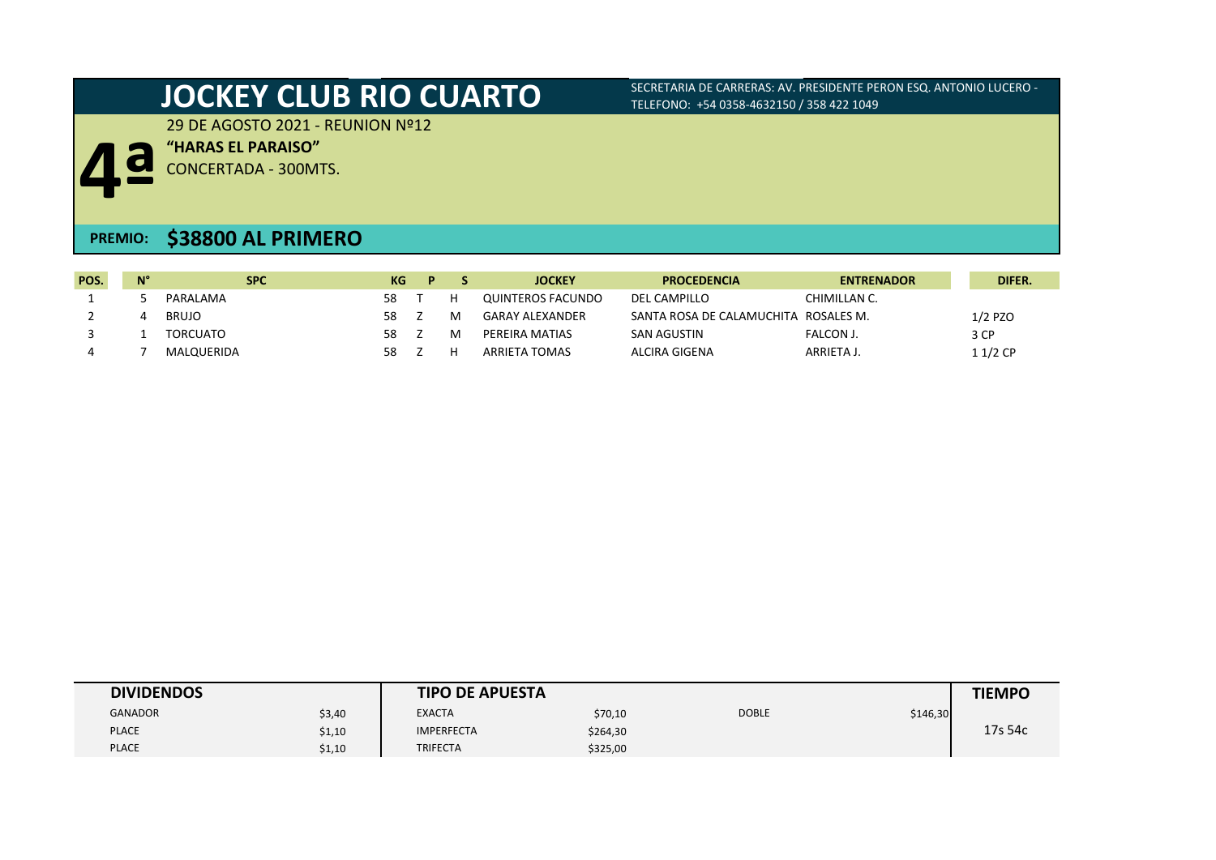29 DE AGOSTO 2021 - REUNION Nº12

**"HARAS EL PARAISO"**

**4** CONCERTADA - 300MTS.

## **PREMIO: \$38800 AL PRIMERO**

| POS. | $N^{\circ}$ | <b>SPC</b>      | KG | D |   | <b>JOCKEY</b>     | <b>PROCEDENCIA</b>        | <b>ENTRENADOR</b> | DIFER.    |
|------|-------------|-----------------|----|---|---|-------------------|---------------------------|-------------------|-----------|
|      |             | PARALAMA        | 58 |   |   | QUINTEROS FACUNDO | DEL CAMPILLO              | CHIMILLAN C.      |           |
|      |             | <b>BRUJO</b>    | 58 |   | м | GARAY ALEXANDER   | SANTA ROSA DE CALAMUCHITA | ROSALES M.        | $1/2$ PZO |
|      |             | <b>TORCUATO</b> | 58 |   | м | PEREIRA MATIAS    | SAN AGUSTIN               | FALCON J.         | 3 CP      |
|      |             | MALQUERIDA      | 58 |   |   | ARRIETA TOMAS     | ALCIRA GIGENA             | ARRIETA J.        | $11/2$ CP |

| <b>DIVIDENDOS</b> |        | <b>TIPO DE APUESTA</b> |          |              |          | <b>TIEMPO</b> |
|-------------------|--------|------------------------|----------|--------------|----------|---------------|
| <b>GANADOR</b>    | \$3,40 | <b>EXACTA</b>          | \$70,10  | <b>DOBLE</b> | \$146,30 |               |
| <b>PLACE</b>      | \$1,10 | <b>IMPERFECTA</b>      | \$264,30 |              |          | 17s 54c       |
| <b>PLACE</b>      | \$1,10 | <b>TRIFECTA</b>        | \$325,00 |              |          |               |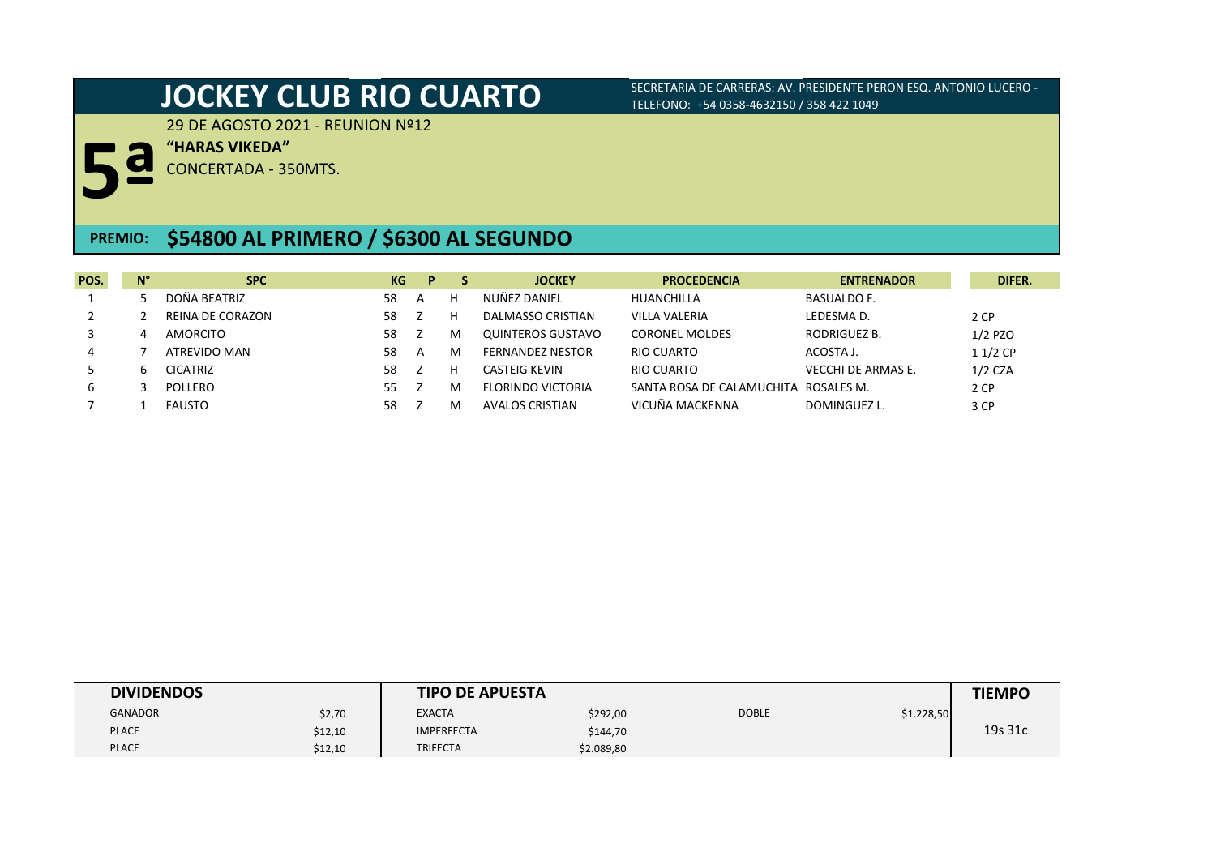29 DE AGOSTO 2021 - REUNION Nº12

**"HARAS VIKEDA"**

**5ª** CONCERTADA - 350MTS.

# **PREMIO: \$54800 AL PRIMERO / \$6300 AL SEGUNDO**

| POS. | $N^{\circ}$ | <b>SPC</b>       | KG. | P |   | <b>JOCKEY</b>           | <b>PROCEDENCIA</b>                   | <b>ENTRENADOR</b>         | DIFER.    |
|------|-------------|------------------|-----|---|---|-------------------------|--------------------------------------|---------------------------|-----------|
|      |             | DOÑA BEATRIZ     | 58  | A | н | NUÑEZ DANIEL            | HUANCHILLA                           | <b>BASUALDO F.</b>        |           |
|      |             | REINA DE CORAZON | 58  |   | н | DALMASSO CRISTIAN       | <b>VILLA VALERIA</b>                 | LEDESMA D.                | 2 CP      |
|      | 4           | <b>AMORCITO</b>  | 58  |   | м | QUINTEROS GUSTAVO       | <b>CORONEL MOLDES</b>                | RODRIGUEZ B.              | $1/2$ PZO |
| 4    |             | ATREVIDO MAN     | 58  | A | м | <b>FERNANDEZ NESTOR</b> | RIO CUARTO                           | ACOSTA J.                 | $11/2$ CP |
|      | h.          | <b>CICATRIZ</b>  | 58  |   | н | CASTEIG KEVIN           | RIO CUARTO                           | <b>VECCHI DE ARMAS E.</b> | $1/2$ CZA |
| 6    |             | POLLERO          | 55. |   | м | FLORINDO VICTORIA       | SANTA ROSA DE CALAMUCHITA ROSALES M. |                           | 2 CP      |
|      |             | <b>FAUSTO</b>    | 58  |   | M | <b>AVALOS CRISTIAN</b>  | VICUÑA MACKENNA                      | DOMINGUEZ L.              | 3 CP      |

| <b>DIVIDENDOS</b> |         | <b>TIPO DE APUESTA</b> |            |              |            | <b>TIEMPO</b> |
|-------------------|---------|------------------------|------------|--------------|------------|---------------|
| <b>GANADOR</b>    | \$2,70  | <b>EXACTA</b>          | \$292,00   | <b>DOBLE</b> | \$1.228,50 |               |
| <b>PLACE</b>      | \$12,10 | <b>IMPERFECTA</b>      | \$144,70   |              |            | 19s 31c       |
| <b>PLACE</b>      | \$12,10 | <b>TRIFECTA</b>        | \$2.089,80 |              |            |               |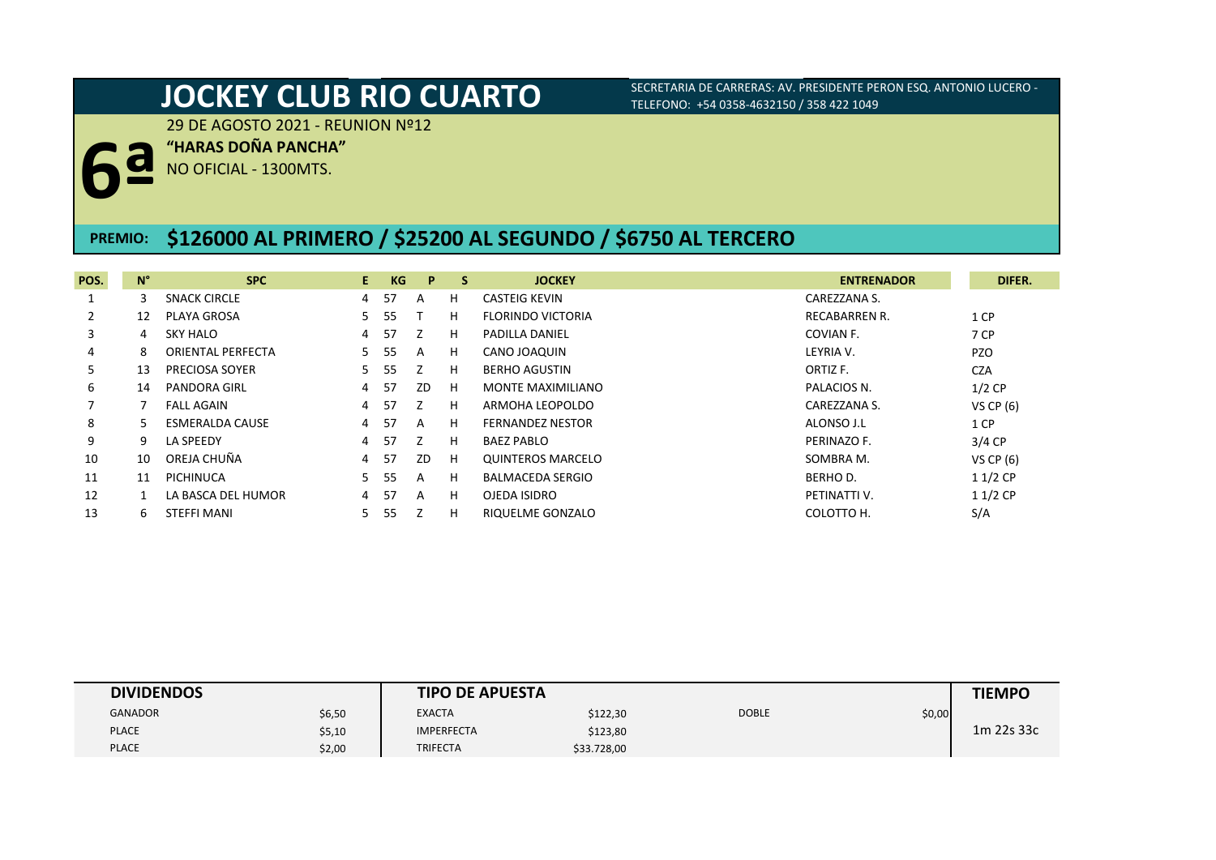29 DE AGOSTO 2021 - REUNION Nº12

**"HARAS DOÑA PANCHA"**

**6ª** NO OFICIAL - 1300MTS.

## **PREMIO: \$126000 AL PRIMERO / \$25200 AL SEGUNDO / \$6750 AL TERCERO**

| POS.           | $N^{\circ}$ | <b>SPC</b>               | E.             | <b>KG</b> | P            | <b>S</b> | <b>JOCKEY</b>            | <b>ENTRENADOR</b>    | DIFER.      |
|----------------|-------------|--------------------------|----------------|-----------|--------------|----------|--------------------------|----------------------|-------------|
|                | 3           | <b>SNACK CIRCLE</b>      | 4              | 57        | A            | H.       | CASTEIG KEVIN            | CAREZZANA S.         |             |
| $\overline{2}$ | 12          | PLAYA GROSA              | 5.             | 55        |              | H.       | <b>FLORINDO VICTORIA</b> | <b>RECABARREN R.</b> | 1 CP        |
| 3              | 4           | <b>SKY HALO</b>          | 4              | -57       | z            | H.       | <b>PADILLA DANIEL</b>    | COVIAN F.            | 7 CP        |
| 4              | 8           | <b>ORIENTAL PERFECTA</b> | 5.             | 55        | A            | H.       | CANO JOAQUIN             | LEYRIA V.            | <b>PZO</b>  |
| 5.             | 13          | PRECIOSA SOYER           | 5.             | 55        | 7            | H.       | <b>BERHO AGUSTIN</b>     | ORTIZ F.             | <b>CZA</b>  |
| 6              | 14          | <b>PANDORA GIRL</b>      | 4              | -57       | ZD           | H        | MONTE MAXIMILIANO        | PALACIOS N.          | $1/2$ CP    |
|                |             | <b>FALL AGAIN</b>        | $\overline{4}$ | 57        | 7            | H.       | ARMOHA LEOPOLDO          | CAREZZANA S.         | VS CP $(6)$ |
| 8              |             | <b>ESMERALDA CAUSE</b>   | 4              | -57       | $\mathsf{A}$ | H.       | <b>FERNANDEZ NESTOR</b>  | ALONSO J.L           | 1 CP        |
| 9              | 9           | LA SPEEDY                | 4              | 57        | Z            | H        | BAEZ PABLO               | PERINAZO F.          | 3/4 CP      |
| 10             | 10          | OREJA CHUÑA              | 4              | -57       | ZD           | Н.       | <b>QUINTEROS MARCELO</b> | SOMBRA M.            | VS CP $(6)$ |
| 11             | 11          | PICHINUCA                | 5.             | 55        | A            | H.       | <b>BALMACEDA SERGIO</b>  | BERHO D.             | $11/2$ CP   |
| 12             |             | LA BASCA DEL HUMOR       | 4              | -57       | A            | H        | OJEDA ISIDRO             | PETINATTI V.         | $11/2$ CP   |
| 13             | 6           | <b>STEFFI MANI</b>       | 5.             | 55        |              | H        | RIQUELME GONZALO         | COLOTTO H.           | S/A         |

| <b>DIVIDENDOS</b> |        | <b>TIPO DE APUESTA</b> |             |              |        | <b>TIEMPO</b> |
|-------------------|--------|------------------------|-------------|--------------|--------|---------------|
| <b>GANADOR</b>    | \$6,50 | <b>EXACTA</b>          | \$122,30    | <b>DOBLE</b> | \$0,00 |               |
| <b>PLACE</b>      | \$5,10 | <b>IMPERFECTA</b>      | \$123,80    |              |        | 1m 22s 33c    |
| <b>PLACE</b>      | \$2,00 | TRIFECTA               | \$33.728,00 |              |        |               |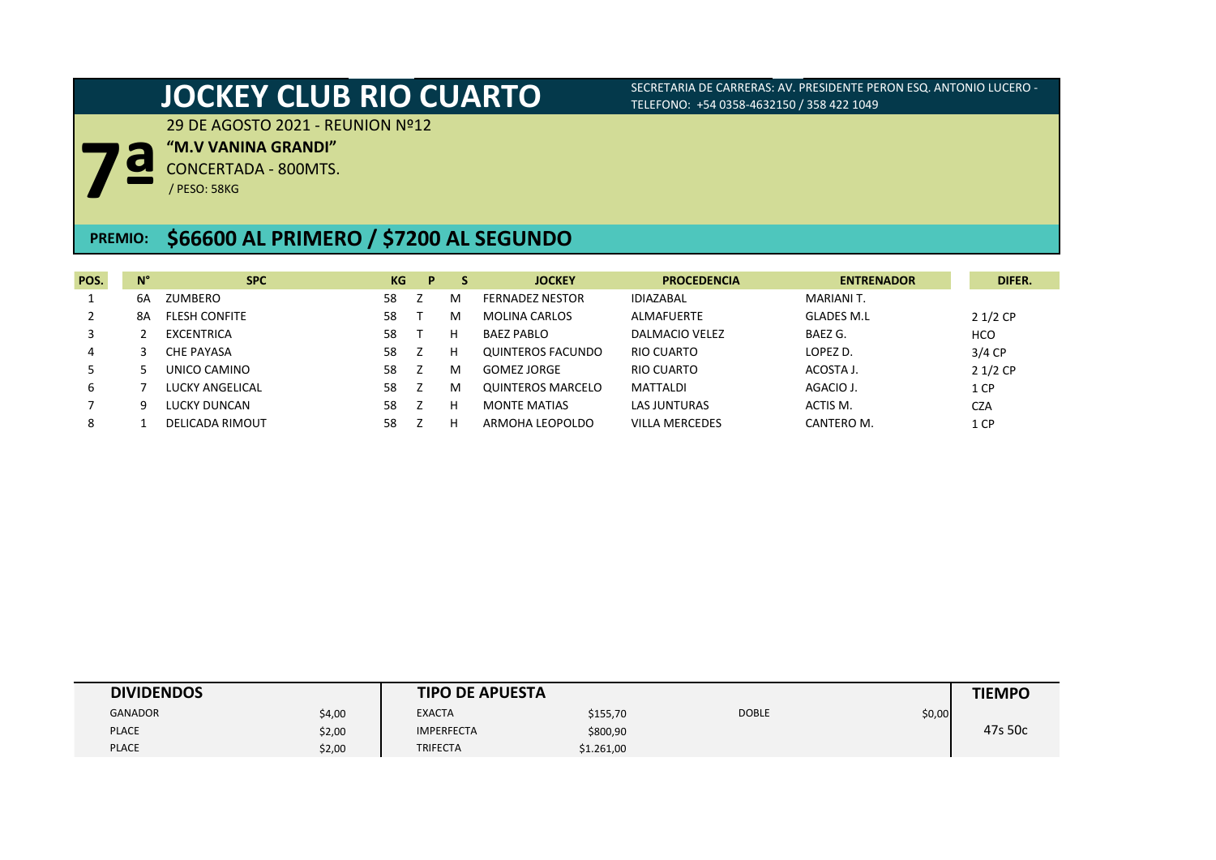29 DE AGOSTO 2021 - REUNION Nº12

**"M.V VANINA GRANDI"**

**7ª** CONCERTADA - 800MTS.

/ PESO: 58KG

## **\$66600 AL PRIMERO / \$7200 AL SEGUNDO PREMIO:**

| POS. | $N^{\circ}$ | <b>SPC</b>             | KG | P. | -S | <b>JOCKEY</b>          | <b>PROCEDENCIA</b>    | <b>ENTRENADOR</b> | DIFER.     |
|------|-------------|------------------------|----|----|----|------------------------|-----------------------|-------------------|------------|
|      | 6А          | ZUMBERO                | 58 |    | м  | <b>FERNADEZ NESTOR</b> | <b>IDIAZABAL</b>      | MARIANI T.        |            |
|      | 8Α          | <b>FLESH CONFITE</b>   | 58 |    | м  | <b>MOLINA CARLOS</b>   | <b>ALMAFUERTE</b>     | <b>GLADES M.L</b> | $21/2$ CP  |
|      |             | EXCENTRICA             | 58 |    |    | <b>BAEZ PABLO</b>      | DALMACIO VELEZ        | BAEZ G.           | <b>HCO</b> |
|      |             | <b>CHE PAYASA</b>      | 58 |    |    | QUINTEROS FACUNDO      | RIO CUARTO            | LOPEZ D.          | $3/4$ CP   |
|      |             | UNICO CAMINO           | 58 |    | м  | <b>GOMEZ JORGE</b>     | RIO CUARTO            | ACOSTA J.         | $21/2$ CP  |
| 6    |             | LUCKY ANGELICAL        | 58 |    | м  | QUINTEROS MARCELO      | <b>MATTALDI</b>       | AGACIO J.         | 1 CP       |
|      | q           | <b>LUCKY DUNCAN</b>    | 58 |    |    | <b>MONTE MATIAS</b>    | <b>LAS JUNTURAS</b>   | ACTIS M.          | <b>CZA</b> |
| 8    |             | <b>DELICADA RIMOUT</b> | 58 |    |    | ARMOHA LEOPOLDO        | <b>VILLA MERCEDES</b> | CANTERO M.        | 1 CP       |

| <b>DIVIDENDOS</b> |        | <b>TIPO DE APUESTA</b> |            |              |        | <b>TIEMPO</b> |
|-------------------|--------|------------------------|------------|--------------|--------|---------------|
| <b>GANADOR</b>    | \$4,00 | <b>EXACTA</b>          | \$155,70   | <b>DOBLE</b> | \$0,00 |               |
| <b>PLACE</b>      | \$2,00 | <b>IMPERFECTA</b>      | \$800,90   |              |        | 47s 50c       |
| <b>PLACE</b>      | \$2,00 | <b>TRIFECTA</b>        | \$1.261,00 |              |        |               |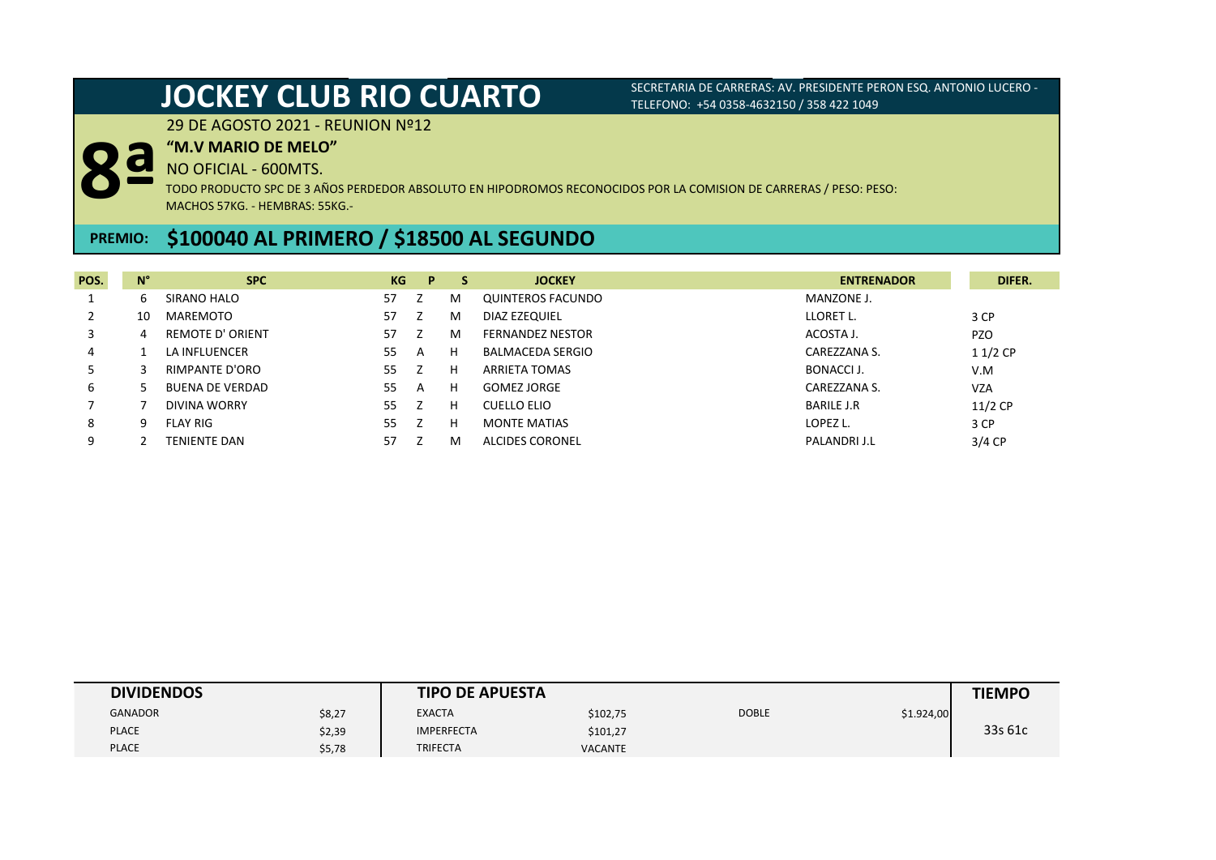29 DE AGOSTO 2021 - REUNION Nº12

### **"M.V MARIO DE MELO"**

NO OFICIAL - 600MTS.

**8ª** TODO PRODUCTO SPC DE 3 AÑOS PERDEDOR ABSOLUTO EN HIPODROMOS RECONOCIDOS POR LA COMISION DE CARRERAS / PESO: PESO: MACHOS 57KG. - HEMBRAS: 55KG.-

# **\$100040 AL PRIMERO / \$18500 AL SEGUNDO PREMIO:**

| POS. | $N^{\circ}$ | <b>SPC</b>              | KG | P | s | <b>JOCKEY</b>           | <b>ENTRENADOR</b> | DIFER.     |
|------|-------------|-------------------------|----|---|---|-------------------------|-------------------|------------|
|      | b           | SIRANO HALO             | 57 |   | м | QUINTEROS FACUNDO       | MANZONE J.        |            |
|      | 10          | MAREMOTO                | 57 |   | м | DIAZ EZEQUIEL           | LLORET L.         | 3 CP       |
|      | 4           | <b>REMOTE D' ORIENT</b> | 57 |   | м | <b>FERNANDEZ NESTOR</b> | ACOSTA J.         | <b>PZO</b> |
| 4    |             | LA INFLUENCER           | 55 | A | н | <b>BALMACEDA SERGIO</b> | CAREZZANA S.      | $11/2$ CP  |
|      |             | RIMPANTE D'ORO          | 55 |   | н | ARRIETA TOMAS           | BONACCI J.        | V.M        |
| 6    |             | <b>BUENA DE VERDAD</b>  | 55 | A | н | <b>GOMEZ JORGE</b>      | CAREZZANA S.      | <b>VZA</b> |
|      |             | DIVINA WORRY            | 55 |   | н | CUELLO ELIO             | <b>BARILE J.R</b> | $11/2$ CP  |
| 8    | q           | <b>FLAY RIG</b>         | 55 |   | н | <b>MONTE MATIAS</b>     | LOPEZ L.          | 3 CP       |
| 9    |             | <b>TENIENTE DAN</b>     | 57 |   | м | <b>ALCIDES CORONEL</b>  | PALANDRI J.L      | $3/4$ CP   |

| <b>DIVIDENDOS</b> |        | <b>TIPO DE APUESTA</b> |                |              |            | <b>TIEMPO</b> |
|-------------------|--------|------------------------|----------------|--------------|------------|---------------|
| <b>GANADOR</b>    | \$8,27 | <b>EXACTA</b>          | \$102,75       | <b>DOBLE</b> | \$1.924,00 |               |
| <b>PLACE</b>      | \$2,39 | <b>IMPERFECTA</b>      | \$101,27       |              |            | 33s 61c       |
| <b>PLACE</b>      | \$5,78 | <b>TRIFECTA</b>        | <b>VACANTE</b> |              |            |               |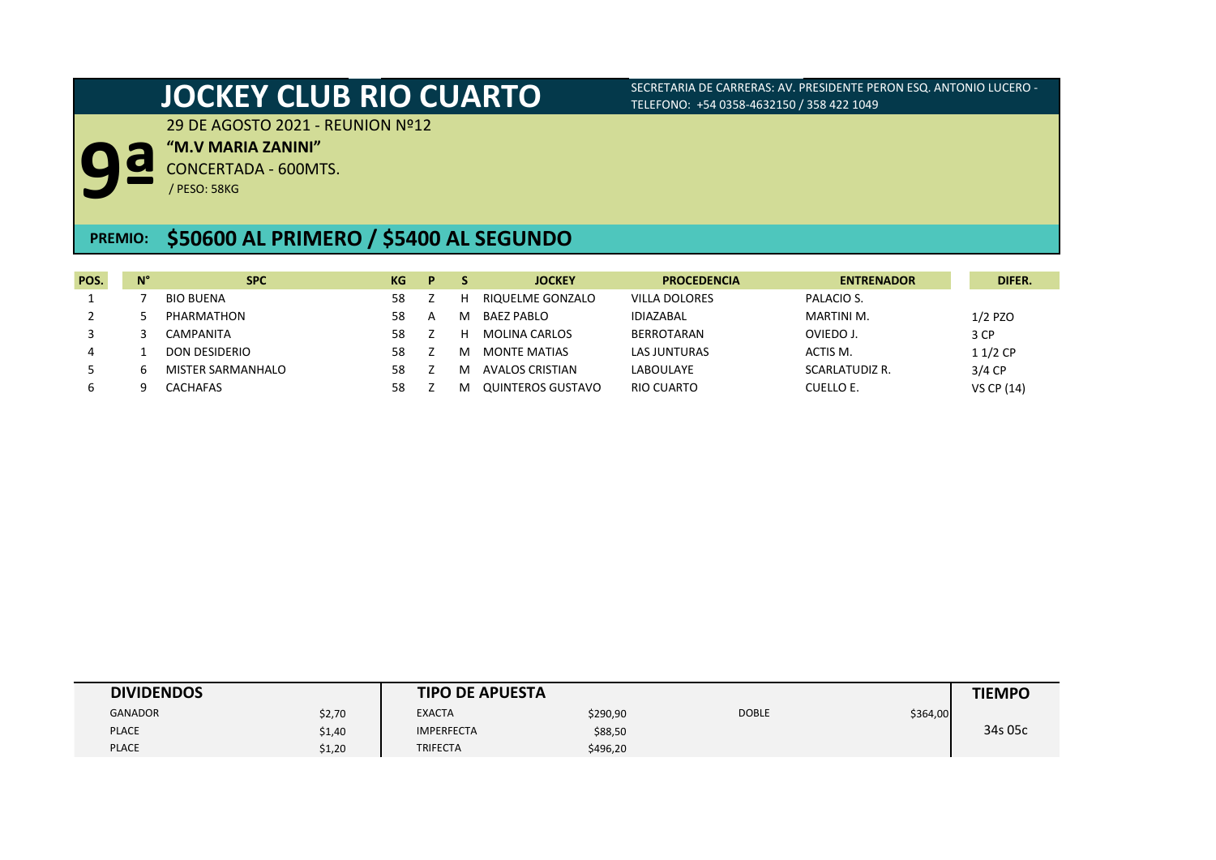29 DE AGOSTO 2021 - REUNION Nº12

**"M.V MARIA ZANINI"**

CONCERTADA - 600MTS. **9ª**

/ PESO: 58KG

# **PREMIO: \$50600 AL PRIMERO / \$5400 AL SEGUNDO**

| POS. | $N^{\circ}$ | <b>SPC</b>               | KG | D |   | <b>JOCKEY</b>       | <b>PROCEDENCIA</b>   | <b>ENTRENADOR</b> | DIFER.            |
|------|-------------|--------------------------|----|---|---|---------------------|----------------------|-------------------|-------------------|
|      |             | BIO BUENA                | 58 |   |   | RIQUELME GONZALO    | <b>VILLA DOLORES</b> | PALACIO S.        |                   |
|      |             | PHARMATHON               | 58 | A | M | <b>BAEZ PABLO</b>   | <b>IDIAZABAL</b>     | MARTINI M.        | $1/2$ PZO         |
|      |             | CAMPANITA                | 58 |   | н | MOLINA CARLOS       | BERROTARAN           | OVIEDO J.         | 3 CP              |
| 4    |             | DON DESIDERIO            | 58 |   | м | <b>MONTE MATIAS</b> | <b>LAS JUNTURAS</b>  | ACTIS M.          | $11/2$ CP         |
|      |             | <b>MISTER SARMANHALO</b> | 58 |   | м | AVALOS CRISTIAN     | LABOULAYE            | SCARLATUDIZ R.    | $3/4$ CP          |
|      |             | CACHAFAS                 | 58 |   |   | QUINTEROS GUSTAVO   | RIO CUARTO           | CUELLO E.         | <b>VS CP (14)</b> |

| <b>DIVIDENDOS</b> |        | <b>TIPO DE APUESTA</b> |          |              |          | <b>TIEMPO</b> |
|-------------------|--------|------------------------|----------|--------------|----------|---------------|
| <b>GANADOR</b>    | \$2,70 | <b>EXACTA</b>          | \$290,90 | <b>DOBLE</b> | \$364,00 |               |
| <b>PLACE</b>      | \$1,40 | <b>IMPERFECTA</b>      | \$88,50  |              |          | 34s 05c       |
| <b>PLACE</b>      | \$1,20 | <b>TRIFECTA</b>        | \$496,20 |              |          |               |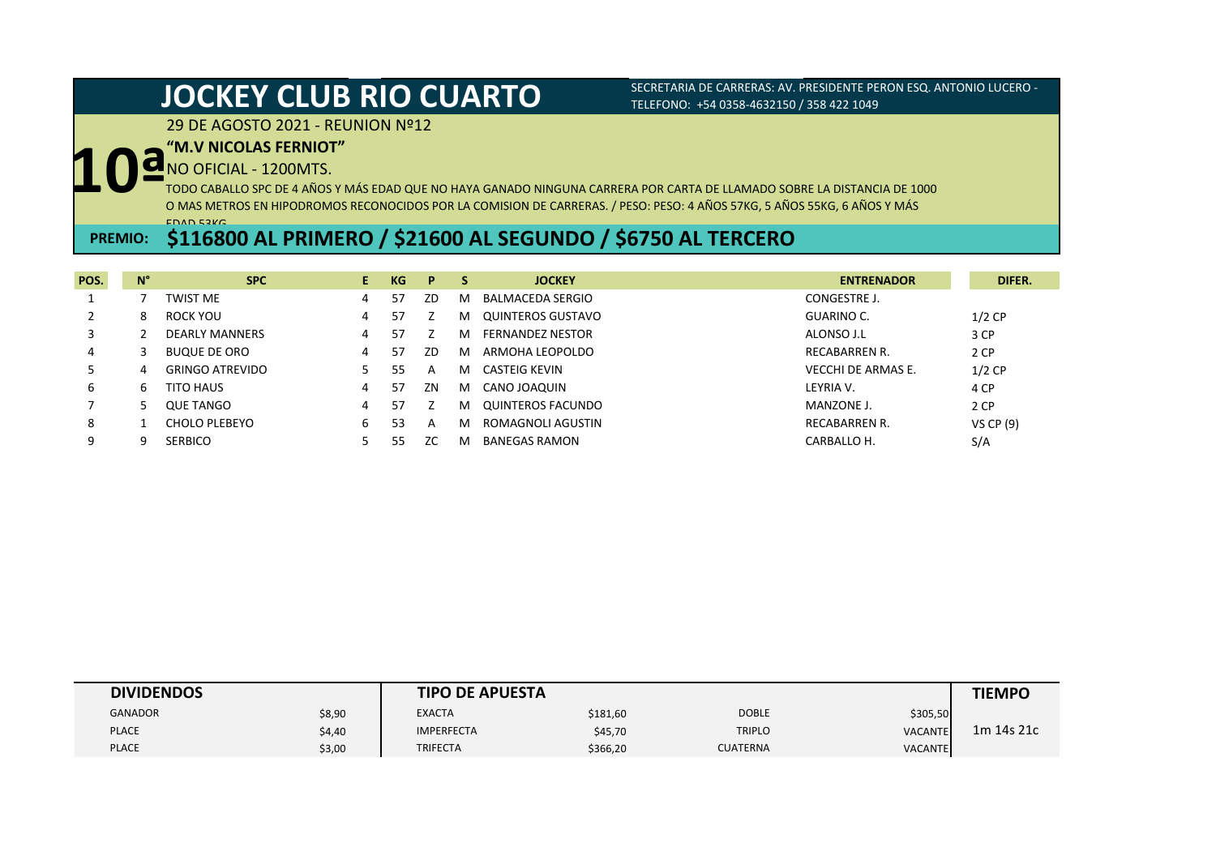## 29 DE AGOSTO 2021 - REUNION Nº12

## **"M.V NICOLAS FERNIOT"**

NO OFICIAL - 1200MTS.

**10ª** TODO CABALLO SPC DE 4 AÑOS Y MÁS EDAD QUE NO HAYA GANADO NINGUNA CARRERA POR CARTA DE LLAMADO SOBRE LA DISTANCIA DE 1000 O MAS METROS EN HIPODROMOS RECONOCIDOS POR LA COMISION DE CARRERAS. / PESO: PESO: 4 AÑOS 57KG, 5 AÑOS 55KG, 6 AÑOS Y MÁS EDAD 53KG.

# **\$116800 AL PRIMERO / \$21600 AL SEGUNDO / \$6750 AL TERCERO PREMIO:**

| POS. | $N^{\circ}$ | <b>SPC</b>             | E. | KG  | P   | -S | <b>JOCKEY</b>           | <b>ENTRENADOR</b>    | DIFER.           |
|------|-------------|------------------------|----|-----|-----|----|-------------------------|----------------------|------------------|
|      |             | <b>TWIST ME</b>        | 4  | 57  | ZD  | м  | BALMACEDA SERGIO        | CONGESTRE J.         |                  |
|      | 8           | ROCK YOU               | 4  | 57  |     | м  | QUINTEROS GUSTAVO       | GUARINO C.           | $1/2$ CP         |
|      |             | <b>DEARLY MANNERS</b>  | 4  | 57  |     | м  | <b>FERNANDEZ NESTOR</b> | ALONSO J.L           | 3 CP             |
| 4    |             | <b>BUQUE DE ORO</b>    | 4  | -57 | ZD  | м  | ARMOHA LEOPOLDO         | <b>RECABARREN R.</b> | 2 CP             |
|      | 4           | <b>GRINGO ATREVIDO</b> |    | 55  | A   | м  | CASTEIG KEVIN           | VECCHI DE ARMAS E.   | $1/2$ CP         |
| 6    | ь           | TITO HAUS              | 4  | 57  | ΖN  | м  | CANO JOAQUIN            | LEYRIA V.            | 4 CP             |
|      |             | <b>QUE TANGO</b>       | 4  | 57  |     | м  | QUINTEROS FACUNDO       | MANZONE J.           | 2 CP             |
| 8    |             | CHOLO PLEBEYO          | 6  | 53  | A   | м  | ROMAGNOLI AGUSTIN       | <b>RECABARREN R.</b> | <b>VS CP (9)</b> |
| 9    |             | <b>SERBICO</b>         |    | 55  | ZC. | м  | <b>BANEGAS RAMON</b>    | CARBALLO H.          | S/A              |

| <b>DIVIDENDOS</b> |        | <b>TIPO DE APUESTA</b> |          |                 |                | <b>TIEMPO</b> |
|-------------------|--------|------------------------|----------|-----------------|----------------|---------------|
| <b>GANADOR</b>    | \$8,90 | <b>EXACTA</b>          | \$181,60 | <b>DOBLE</b>    | \$305,50       |               |
| <b>PLACE</b>      | \$4,40 | <b>IMPERFECTA</b>      | \$45,70  | <b>TRIPLO</b>   | <b>VACANTE</b> | 1m 14s 21c    |
| <b>PLACE</b>      | \$3,00 | <b>TRIFECTA</b>        | \$366,20 | <b>CUATERNA</b> | <b>VACANTE</b> |               |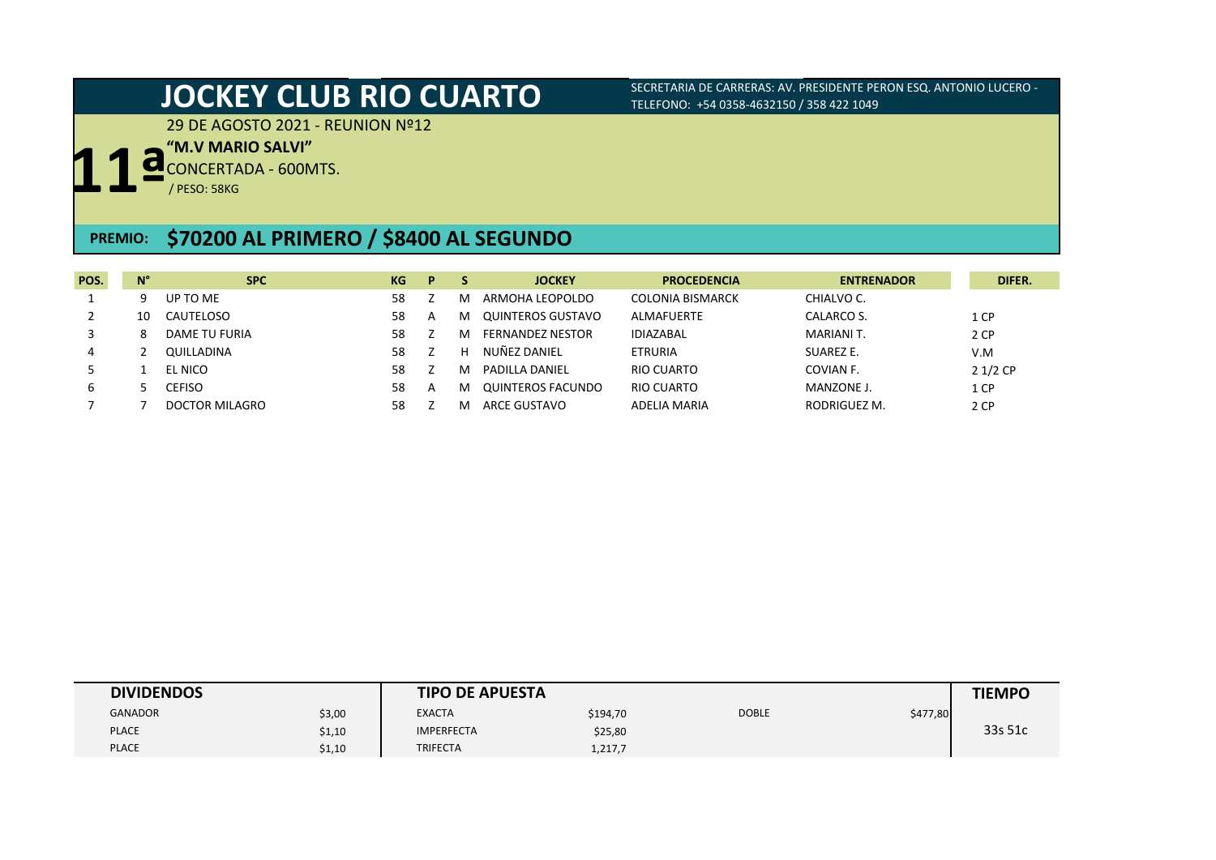29 DE AGOSTO 2021 - REUNION Nº12

**"M.V MARIO SALVI"**

**11ª** CONCERTADA - 600MTS.

/ PESO: 58KG

## **PREMIO: \$70200 AL PRIMERO / \$8400 AL SEGUNDO**

| POS. | $N^{\circ}$ | <b>SPC</b>       | KG | P. |   | <b>JOCKEY</b>     | <b>PROCEDENCIA</b>      | <b>ENTRENADOR</b> | DIFER.    |
|------|-------------|------------------|----|----|---|-------------------|-------------------------|-------------------|-----------|
|      | 9           | UP TO ME         | 58 |    | м | ARMOHA LEOPOLDO   | <b>COLONIA BISMARCK</b> | CHIALVO C.        |           |
|      | 10          | <b>CAUTELOSO</b> | 58 | A  | м | QUINTEROS GUSTAVO | ALMAFUERTE              | CALARCO S.        | 1 CP      |
|      | 8           | DAME TU FURIA    | 58 |    | м | FERNANDEZ NESTOR  | <b>IDIAZABAL</b>        | MARIANI T.        | 2 CP      |
| 4    |             | QUILLADINA       | 58 |    | н | NUÑEZ DANIEL      | ETRURIA                 | SUAREZ E.         | V.M       |
|      |             | EL NICO          | 58 |    | м | PADILLA DANIEL    | RIO CUARTO              | COVIAN F.         | $21/2$ CP |
| 6    |             | CEFISO           | 58 | A  | м | QUINTEROS FACUNDO | RIO CUARTO              | MANZONE J.        | 1 CP      |
|      |             | DOCTOR MILAGRO   | 58 |    |   | ARCE GUSTAVO      | ADELIA MARIA            | RODRIGUEZ M.      | 2 CP      |

| <b>DIVIDENDOS</b> |        | <b>TIPO DE APUESTA</b> |          |              |          | <b>TIEMPO</b> |
|-------------------|--------|------------------------|----------|--------------|----------|---------------|
| <b>GANADOR</b>    | \$3,00 | <b>EXACTA</b>          | \$194,70 | <b>DOBLE</b> | \$477,80 |               |
| <b>PLACE</b>      | \$1,10 | <b>IMPERFECTA</b>      | \$25,80  |              |          | 33s 51c       |
| <b>PLACE</b>      | \$1,10 | <b>TRIFECTA</b>        | 1,217,7  |              |          |               |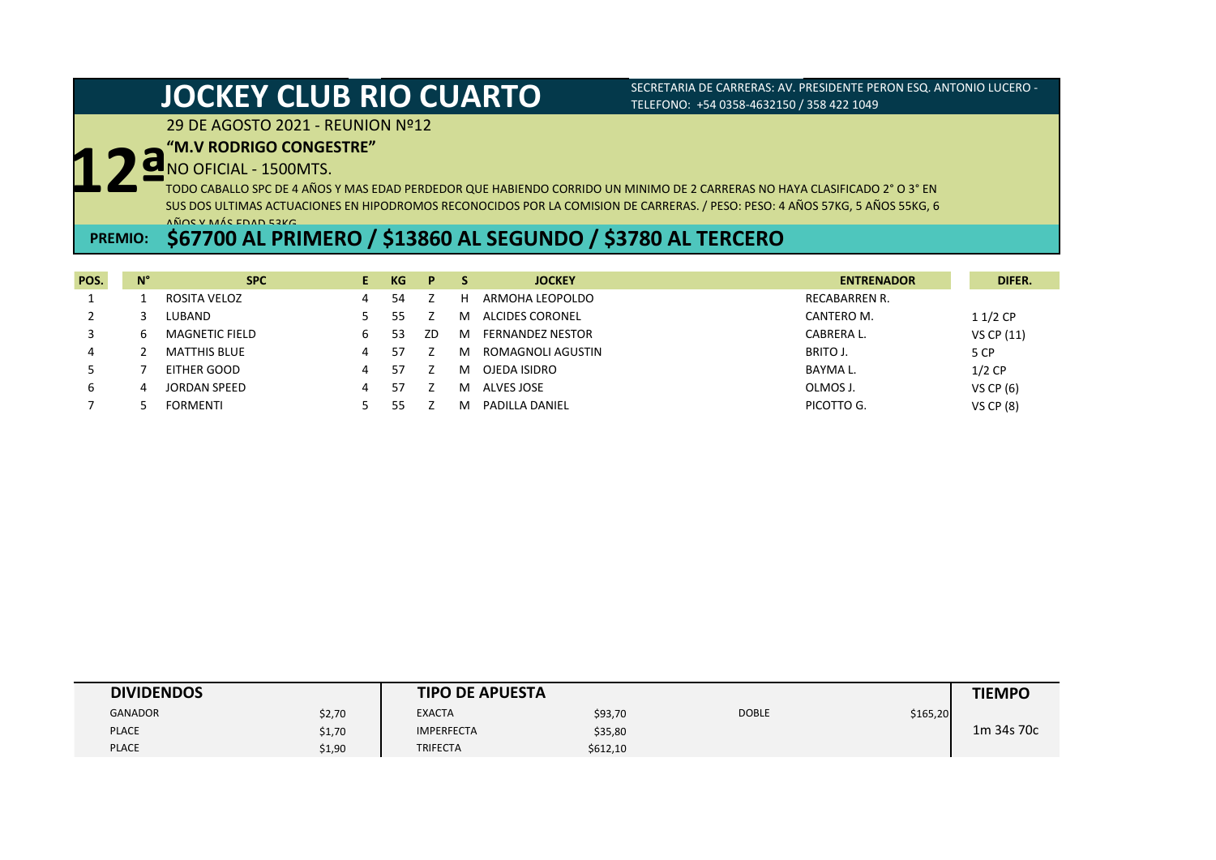## 29 DE AGOSTO 2021 - REUNION Nº12

## **"M.V RODRIGO CONGESTRE"**

NO OFICIAL - 1500MTS.

**12ª** TODO CABALLO SPC DE 4 AÑOS Y MAS EDAD PERDEDOR QUE HABIENDO CORRIDO UN MINIMO DE 2 CARRERAS NO HAYA CLASIFICADO 2° O 3° EN SUS DOS ULTIMAS ACTUACIONES EN HIPODROMOS RECONOCIDOS POR LA COMISION DE CARRERAS. / PESO: PESO: 4 AÑOS 57KG, 5 AÑOS 55KG, 6 AÑOS Y MÁS EDAD 53KG.

# **PREMIO: \$67700 AL PRIMERO / \$13860 AL SEGUNDO / \$3780 AL TERCERO**

| POS. | N° | <b>SPC</b>            |   | KG | P  |   | <b>JOCKEY</b>           | <b>ENTRENADOR</b>    | DIFER.        |
|------|----|-----------------------|---|----|----|---|-------------------------|----------------------|---------------|
|      |    | ROSITA VELOZ          |   | 54 |    | н | ARMOHA LEOPOLDO         | <b>RECABARREN R.</b> |               |
|      |    | LUBAND                |   |    |    | м | ALCIDES CORONEL         | CANTERO M.           | $11/2$ CP     |
|      |    | <b>MAGNETIC FIELD</b> |   | 53 | ZD | м | <b>FERNANDEZ NESTOR</b> | CABRERA L.           | VS CP (11)    |
| 4    |    | <b>MATTHIS BLUE</b>   | 4 |    |    | м | ROMAGNOLI AGUSTIN       | BRITO J.             | 5 CP          |
|      |    | EITHER GOOD           | 4 | 57 |    | м | OJEDA ISIDRO            | BAYMA L.             | $1/2$ CP      |
| ь    |    | <b>JORDAN SPEED</b>   | 4 | 57 |    | м | ALVES JOSE              | OLMOS J.             | VS CP $(6)$   |
|      |    | <b>FORMENTI</b>       |   |    |    | м | <b>PADILLA DANIEL</b>   | PICOTTO G.           | $VS$ CP $(8)$ |

| <b>DIVIDENDOS</b> |        | <b>TIPO DE APUESTA</b> |          |              |          | <b>TIEMPO</b> |
|-------------------|--------|------------------------|----------|--------------|----------|---------------|
| <b>GANADOR</b>    | \$2,70 | <b>EXACTA</b>          | \$93,70  | <b>DOBLE</b> | \$165,20 |               |
| <b>PLACE</b>      | \$1,70 | <b>IMPERFECTA</b>      | \$35,80  |              |          | 1m 34s 70c    |
| <b>PLACE</b>      | \$1,90 | <b>TRIFECTA</b>        | \$612,10 |              |          |               |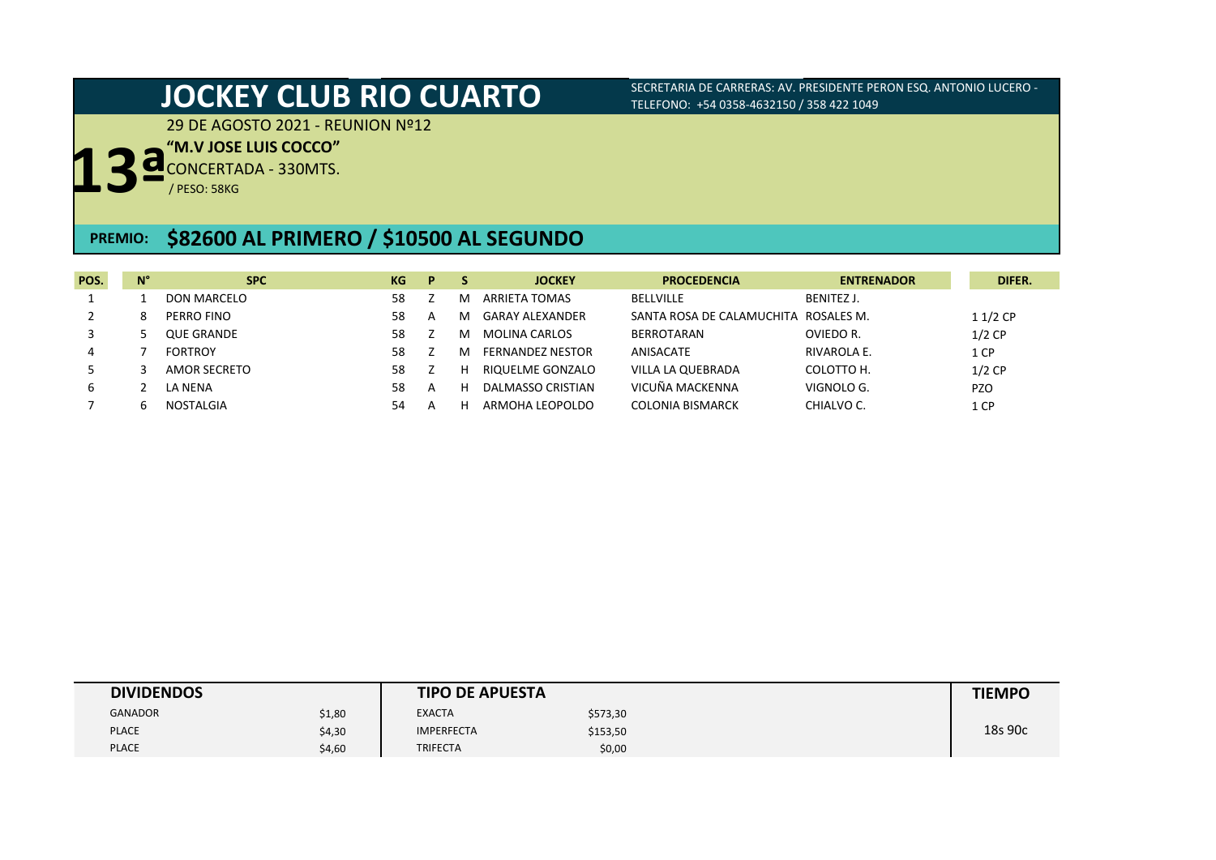29 DE AGOSTO 2021 - REUNION Nº12

## **"M.V JOSE LUIS COCCO"**

**13ª** CONCERTADA - 330MTS.

/ PESO: 58KG

## **PREMIO: \$82600 AL PRIMERO / \$10500 AL SEGUNDO**

| POS. | $N^{\circ}$ | <b>SPC</b>         | KG | D. |    | <b>JOCKEY</b>           | <b>PROCEDENCIA</b>        | <b>ENTRENADOR</b> | DIFER.     |
|------|-------------|--------------------|----|----|----|-------------------------|---------------------------|-------------------|------------|
|      |             | <b>DON MARCELO</b> | 58 |    | M  | ARRIETA TOMAS           | <b>BELLVILLE</b>          | BENITEZ J.        |            |
|      | 8           | PERRO FINO         | 58 | A  | M  | <b>GARAY ALEXANDER</b>  | SANTA ROSA DE CALAMUCHITA | ROSALES M.        | $11/2$ CP  |
|      |             | <b>QUE GRANDE</b>  | 58 |    | м  | <b>MOLINA CARLOS</b>    | <b>BERROTARAN</b>         | OVIEDO R.         | $1/2$ CP   |
| 4    |             | <b>FORTROY</b>     | 58 |    | M  | <b>FERNANDEZ NESTOR</b> | ANISACATE                 | RIVAROLA E.       | 1 CP       |
|      |             | AMOR SECRETO       | 58 |    | н  | RIQUELME GONZALO        | VILLA LA QUEBRADA         | COLOTTO H.        | $1/2$ CP   |
| 6    |             | LA NENA            | 58 | A  | t. | DALMASSO CRISTIAN       | VICUÑA MACKENNA           | VIGNOLO G.        | <b>PZO</b> |
|      | h           | NOSTALGIA          | 54 | А  |    | ARMOHA LEOPOLDO         | <b>COLONIA BISMARCK</b>   | CHIALVO C.        | 1 CP       |

| <b>DIVIDENDOS</b> |        | <b>TIPO DE APUESTA</b> |          | <b>TIEMPO</b> |
|-------------------|--------|------------------------|----------|---------------|
| <b>GANADOR</b>    | \$1,80 | <b>EXACTA</b>          | \$573,30 |               |
| <b>PLACE</b>      | \$4,30 | <b>IMPERFECTA</b>      | \$153,50 | 18s 90c       |
| <b>PLACE</b>      | \$4,60 | <b>TRIFECTA</b>        | \$0,00   |               |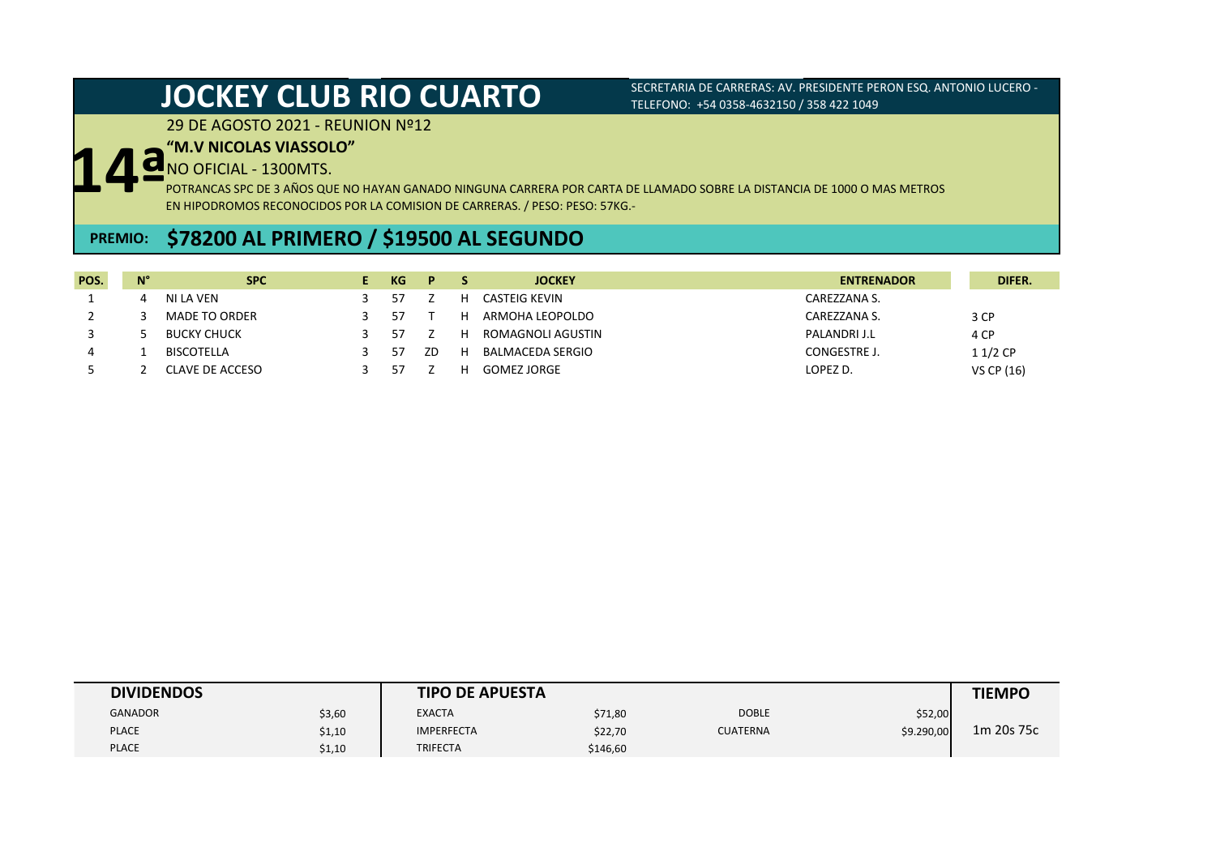## 29 DE AGOSTO 2021 - REUNION Nº12

## **"M.V NICOLAS VIASSOLO"**

NO OFICIAL - 1300MTS.

**14ª** POTRANCAS SPC DE 3 AÑOS QUE NO HAYAN GANADO NINGUNA CARRERA POR CARTA DE LLAMADO SOBRE LA DISTANCIA DE 1000 O MAS METROS EN HIPODROMOS RECONOCIDOS POR LA COMISION DE CARRERAS. / PESO: PESO: 57KG.-

# **PREMIO: \$78200 AL PRIMERO / \$19500 AL SEGUNDO**

| POS. | $N^{\circ}$ | <b>SPC</b>           | KG. | P. |   | <b>JOCKEY</b>      | <b>ENTRENADOR</b> | DIFER.     |
|------|-------------|----------------------|-----|----|---|--------------------|-------------------|------------|
|      |             | NI LA VEN            | 57  |    | н | CASTEIG KEVIN      | CAREZZANA S.      |            |
|      |             | <b>MADE TO ORDER</b> | 57  |    | н | ARMOHA LEOPOLDO    | CAREZZANA S.      | 3 CP       |
|      |             | <b>BUCKY CHUCK</b>   | 57  |    | Н | ROMAGNOLI AGUSTIN  | PALANDRI J.L      | 4 CP       |
| 4    |             | BISCOTELLA           | 57  | ZD | н | BALMACEDA SERGIO   | CONGESTRE J.      | 11/2 CP    |
|      |             | CLAVE DE ACCESO      | 57  |    |   | <b>GOMEZ JORGE</b> | LOPEZ D.          | VS CP (16) |

| <b>DIVIDENDOS</b> |        | <b>TIPO DE APUESTA</b> |          |                 |            | <b>TIEMPO</b> |
|-------------------|--------|------------------------|----------|-----------------|------------|---------------|
| <b>GANADOR</b>    | \$3,60 | <b>EXACTA</b>          | \$71,80  | <b>DOBLE</b>    | \$52,00    |               |
| <b>PLACE</b>      | \$1,10 | <b>IMPERFECTA</b>      | \$22,70  | <b>CUATERNA</b> | \$9.290,00 | 1m 20s 75c    |
| <b>PLACE</b>      | \$1,10 | TRIFECTA               | \$146,60 |                 |            |               |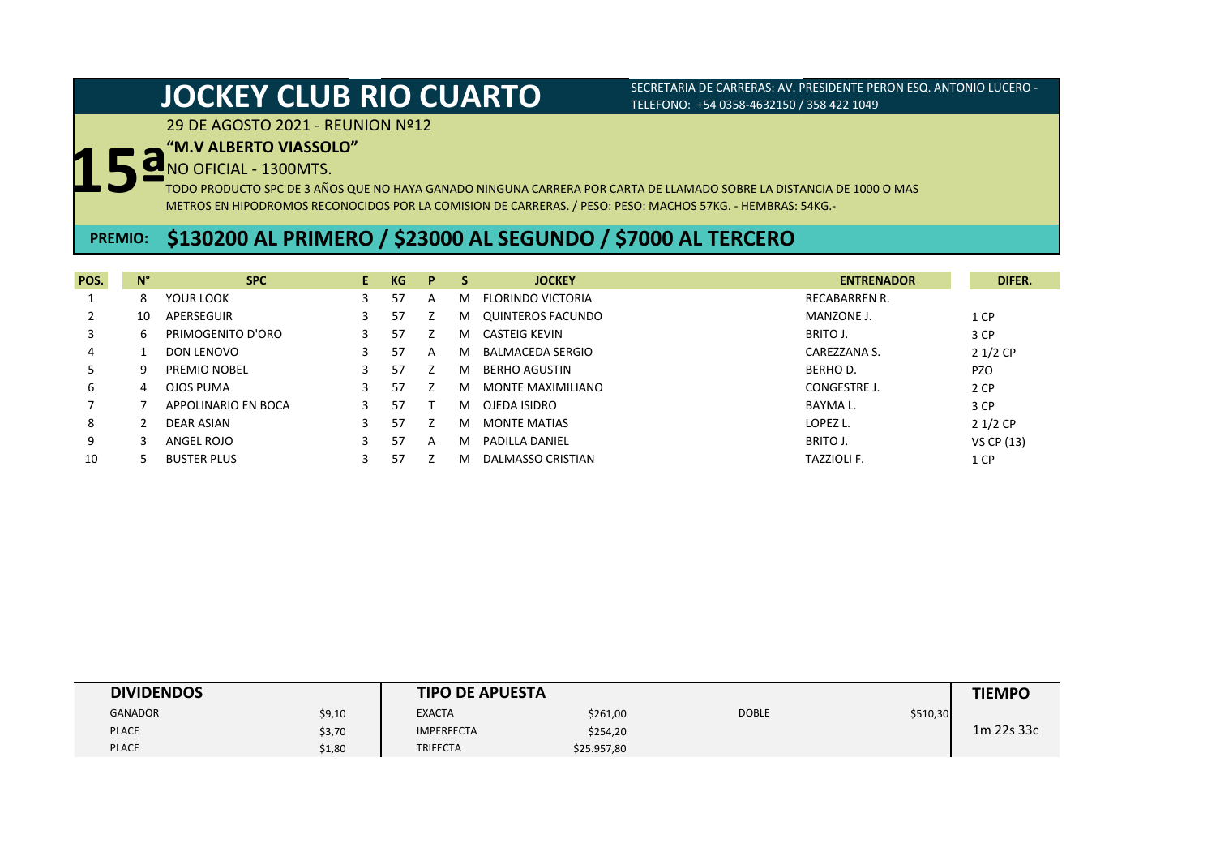29 DE AGOSTO 2021 - REUNION Nº12

# **15ª "M.V ALBERTO VIASSOLO"**

NO OFICIAL - 1300MTS.

TODO PRODUCTO SPC DE 3 AÑOS QUE NO HAYA GANADO NINGUNA CARRERA POR CARTA DE LLAMADO SOBRE LA DISTANCIA DE 1000 O MAS METROS EN HIPODROMOS RECONOCIDOS POR LA COMISION DE CARRERAS. / PESO: PESO: MACHOS 57KG. - HEMBRAS: 54KG.-

# **PREMIO: \$130200 AL PRIMERO / \$23000 AL SEGUNDO / \$7000 AL TERCERO**

| POS. | $N^{\circ}$ | <b>SPC</b>          | E. | KG | P | S. | <b>JOCKEY</b>         | <b>ENTRENADOR</b>    | DIFER.     |
|------|-------------|---------------------|----|----|---|----|-----------------------|----------------------|------------|
|      | 8           | YOUR LOOK           |    | 57 | A | м  | FLORINDO VICTORIA     | <b>RECABARREN R.</b> |            |
|      | 10          | APERSEGUIR          |    | 57 |   | м  | QUINTEROS FACUNDO     | MANZONE J.           | 1 CP       |
|      | b           | PRIMOGENITO D'ORO   |    | 57 |   | м  | <b>CASTEIG KEVIN</b>  | BRITO J.             | 3 CP       |
| 4    |             | DON LENOVO          |    | 57 | A | м  | BALMACEDA SERGIO      | CAREZZANA S.         | $21/2$ CP  |
|      | q           | PREMIO NOBEL        |    | 57 |   | м  | <b>BERHO AGUSTIN</b>  | <b>BERHOD.</b>       | <b>PZO</b> |
| 6    | 4           | OJOS PUMA           | 3  | 57 |   | м  | MONTE MAXIMILIANO     | CONGESTRE J.         | 2 CP       |
|      |             | APPOLINARIO EN BOCA |    | 57 |   | м  | OJEDA ISIDRO          | BAYMA L.             | 3 CP       |
| 8    |             | DEAR ASIAN          |    | 57 |   | м  | <b>MONTE MATIAS</b>   | LOPEZ L.             | $21/2$ CP  |
| 9    |             | ANGEL ROJO          | 3. | 57 | A | м  | <b>PADILLA DANIEL</b> | BRITO J.             | VS CP (13) |
| 10   |             | <b>BUSTER PLUS</b>  |    | 57 |   | м  | DALMASSO CRISTIAN     | <b>TAZZIOLI F.</b>   | 1 CP       |

| <b>DIVIDENDOS</b> |        | <b>TIPO DE APUESTA</b> |             |              |          | <b>TIEMPO</b> |
|-------------------|--------|------------------------|-------------|--------------|----------|---------------|
| <b>GANADOR</b>    | \$9,10 | <b>EXACTA</b>          | \$261,00    | <b>DOBLE</b> | \$510,30 |               |
| <b>PLACE</b>      | \$3,70 | <b>IMPERFECTA</b>      | \$254,20    |              |          | 1m 22s 33c    |
| <b>PLACE</b>      | \$1,80 | <b>TRIFECTA</b>        | \$25.957,80 |              |          |               |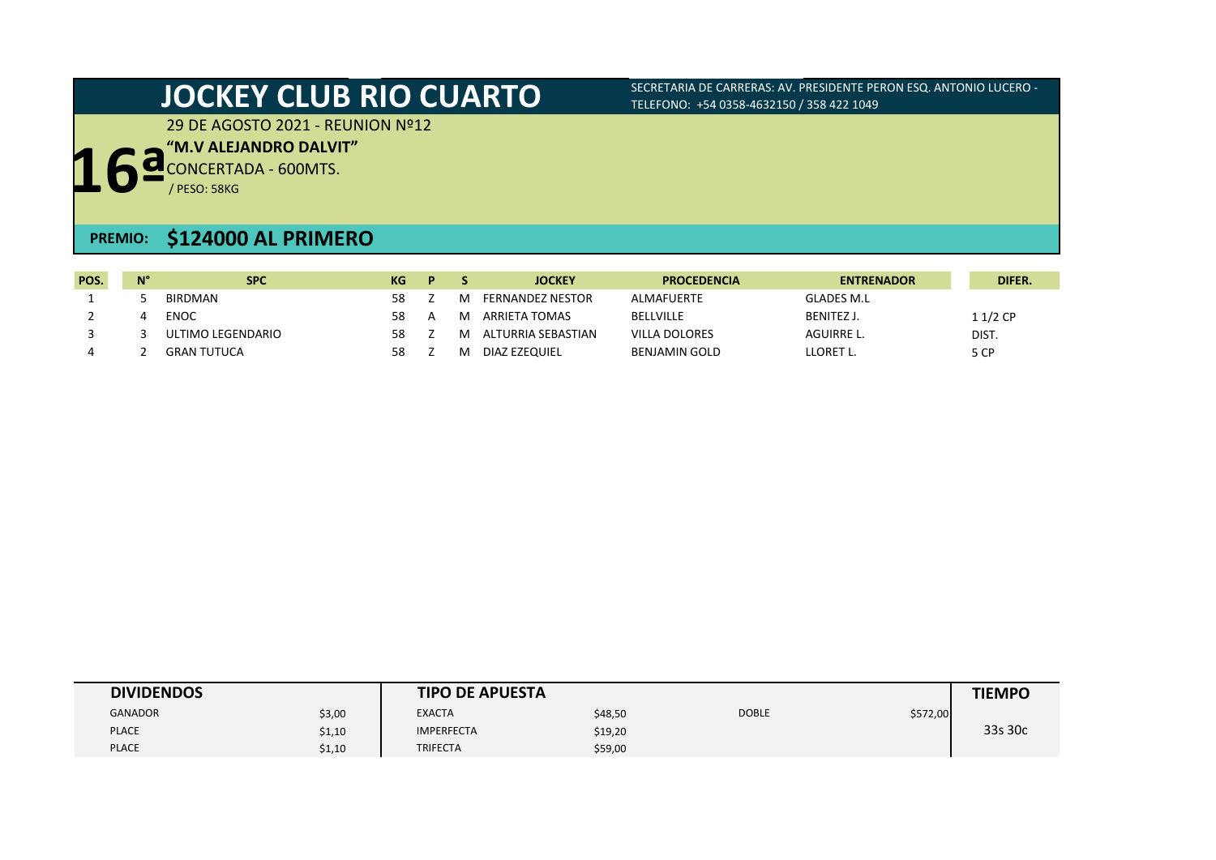29 DE AGOSTO 2021 - REUNION Nº12

**"M.V ALEJANDRO DALVIT"**

**16ª** CONCERTADA - 600MTS.

/ PESO: 58KG

## **PREMIO: \$124000 AL PRIMERO**

| POS. | N° | <b>SPC</b>         | KG | D |   | <b>JOCKEY</b>           | <b>PROCEDENCIA</b>   | <b>ENTRENADOR</b> | <b>DIFER.</b> |
|------|----|--------------------|----|---|---|-------------------------|----------------------|-------------------|---------------|
|      |    | BIRDMAN            | 58 |   | м | <b>FERNANDEZ NESTOR</b> | ALMAFUERTE           | <b>GLADES M.L</b> |               |
|      |    | <b>ENOC</b>        | 58 | А | M | ARRIETA TOMAS           | BELLVILLE            | BENITEZ J.        | $11/2$ CP     |
|      |    | ULTIMO LEGENDARIO  | 58 |   | M | ALTURRIA SEBASTIAN      | <b>VILLA DOLORES</b> | AGUIRRE L.        | DIST.         |
|      |    | <b>GRAN TUTUCA</b> | 58 |   | M | DIAZ EZEQUIEL           | <b>BENJAMIN GOLD</b> | LLORET L.         | 5 CP          |

| <b>DIVIDENDOS</b> |        | <b>TIPO DE APUESTA</b> |         |              |          | <b>TIEMPO</b> |
|-------------------|--------|------------------------|---------|--------------|----------|---------------|
| <b>GANADOR</b>    | \$3,00 | <b>EXACTA</b>          | \$48,50 | <b>DOBLE</b> | \$572,00 |               |
| <b>PLACE</b>      | \$1,10 | <b>IMPERFECTA</b>      | \$19,20 |              |          | 33s 30c       |
| <b>PLACE</b>      | \$1,10 | <b>TRIFECTA</b>        | \$59,00 |              |          |               |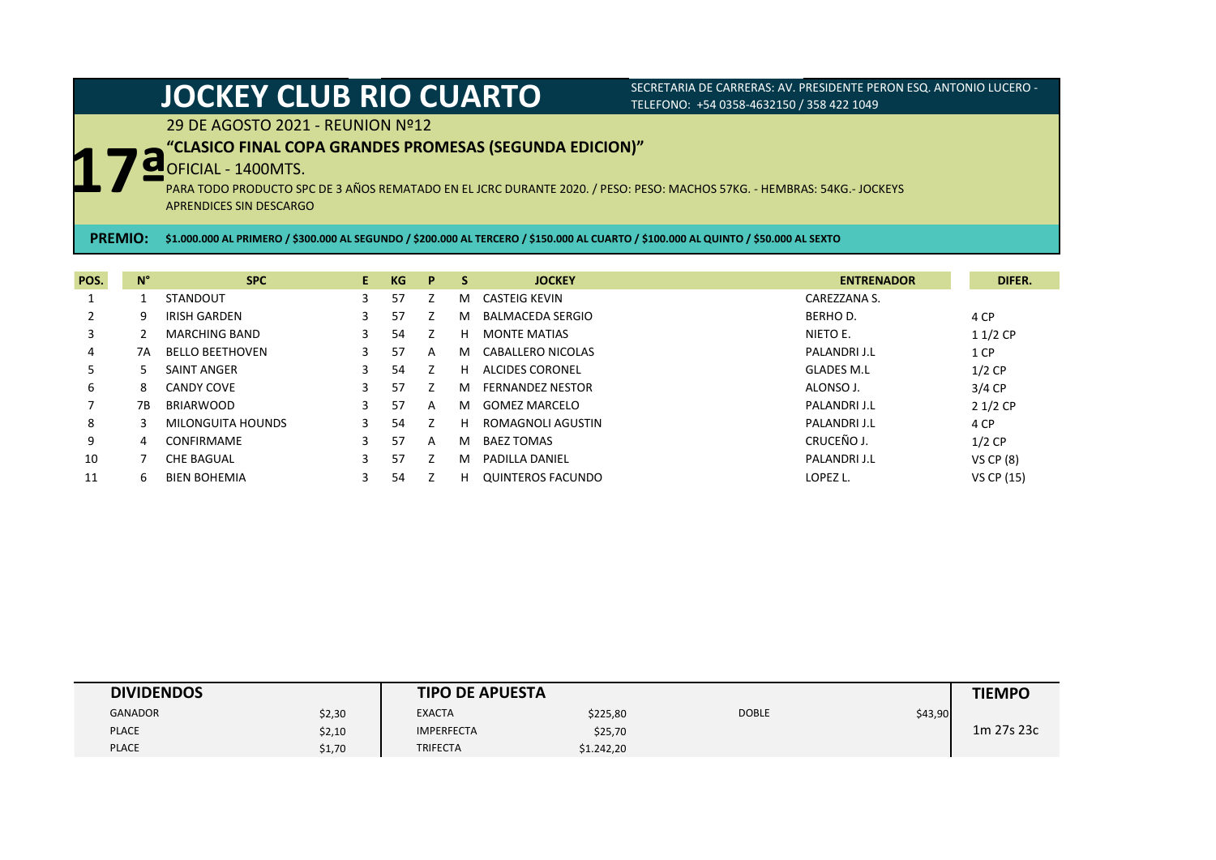29 DE AGOSTO 2021 - REUNION Nº12

## **"CLASICO FINAL COPA GRANDES PROMESAS (SEGUNDA EDICION)"**

## OFICIAL - 1400MTS.

**17ª** PARA TODO PRODUCTO SPC DE 3 AÑOS REMATADO EN EL JCRC DURANTE 2020. / PESO: PESO: MACHOS 57KG. - HEMBRAS: 54KG.- JOCKEYS APRENDICES SIN DESCARGO

**PREMIO: \$1.000.000 AL PRIMERO / \$300.000 AL SEGUNDO / \$200.000 AL TERCERO / \$150.000 AL CUARTO / \$100.000 AL QUINTO / \$50.000 AL SEXTO**

| POS. | $N^{\circ}$  | <b>SPC</b>             | E. | KG | P | <b>S</b> | <b>JOCKEY</b>            | <b>ENTRENADOR</b> | DIFER.           |
|------|--------------|------------------------|----|----|---|----------|--------------------------|-------------------|------------------|
|      |              | <b>STANDOUT</b>        | 3  | 57 |   | м        | CASTEIG KEVIN            | CAREZZANA S.      |                  |
|      | 9            | IRISH GARDEN           |    | 57 |   | м        | <b>BALMACEDA SERGIO</b>  | BERHO D.          | 4 CP             |
| 3    |              | <b>MARCHING BAND</b>   | 3  | 54 |   | н        | <b>MONTE MATIAS</b>      | NIETO E.          | $11/2$ CP        |
| 4    | 7A           | <b>BELLO BEETHOVEN</b> | 3  | 57 | A | м        | CABALLERO NICOLAS        | PALANDRI J.L      | 1 CP             |
| 5    |              | SAINT ANGER            | 3  | 54 |   | н        | ALCIDES CORONEL          | <b>GLADES M.L</b> | $1/2$ CP         |
| 6    | 8            | CANDY COVE             | 3  | 57 |   | м        | <b>FERNANDEZ NESTOR</b>  | ALONSO J.         | $3/4$ CP         |
|      | 7В           | <b>BRIARWOOD</b>       | 3  | 57 | A | м        | GOMEZ MARCELO            | PALANDRI J.L      | $21/2$ CP        |
| 8    |              | MILONGUITA HOUNDS      | 3  | 54 |   | н        | ROMAGNOLI AGUSTIN        | PALANDRI J.L      | 4 CP             |
| 9    | 4            | <b>CONFIRMAME</b>      | 3. | 57 | A | м        | <b>BAEZ TOMAS</b>        | CRUCEÑO J.        | $1/2$ CP         |
| 10   |              | <b>CHE BAGUAL</b>      | 3. | 57 |   | м        | <b>PADILLA DANIEL</b>    | PALANDRI J.L      | <b>VS CP (8)</b> |
| 11   | <sub>b</sub> | <b>BIEN BOHEMIA</b>    |    | 54 |   | н        | <b>OUINTEROS FACUNDO</b> | LOPEZ L.          | VS CP (15)       |

| <b>DIVIDENDOS</b> |        | <b>TIPO DE APUESTA</b> |            |              |         | <b>TIEMPO</b> |
|-------------------|--------|------------------------|------------|--------------|---------|---------------|
| <b>GANADOR</b>    | \$2,30 | <b>EXACTA</b>          | \$225,80   | <b>DOBLE</b> | \$43,90 |               |
| <b>PLACE</b>      | \$2,10 | <b>IMPERFECTA</b>      | \$25,70    |              |         | 1m 27s 23c    |
| <b>PLACE</b>      | \$1,70 | <b>TRIFECTA</b>        | \$1.242,20 |              |         |               |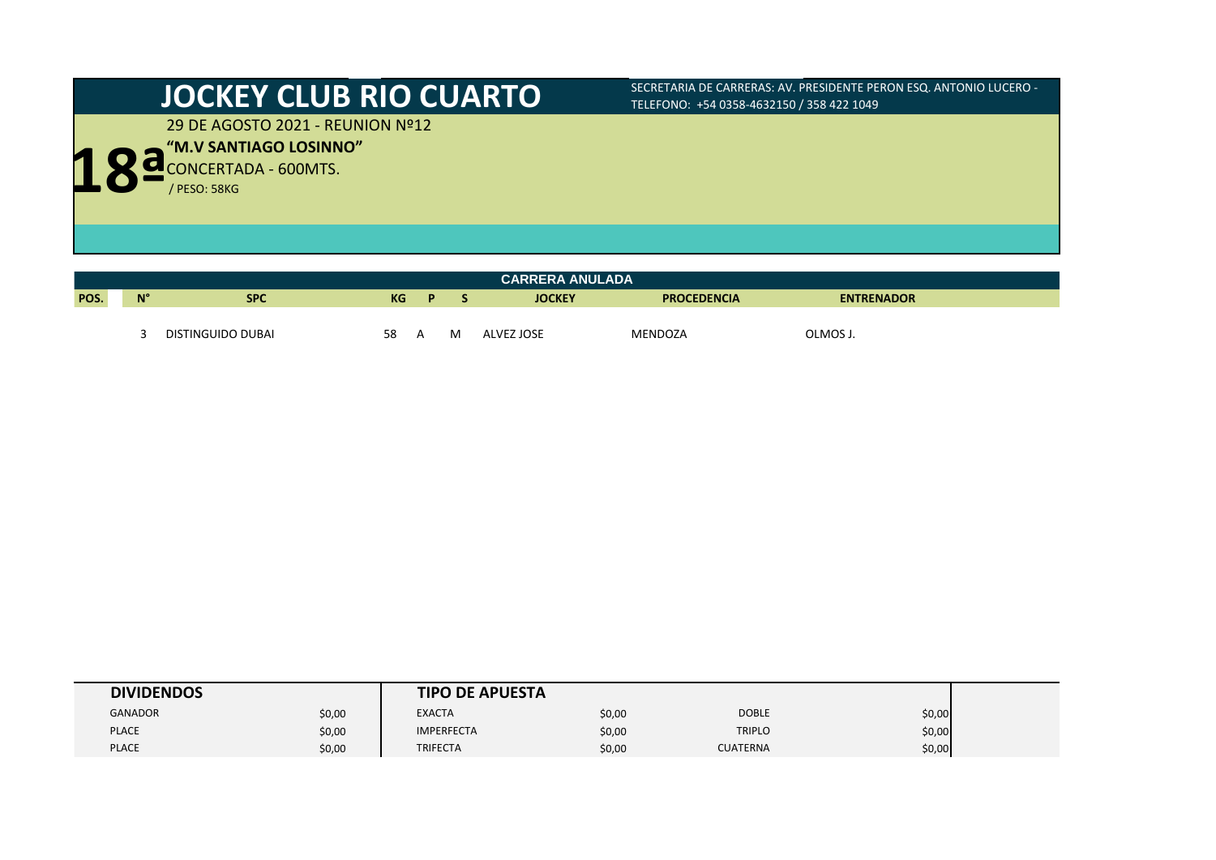29 DE AGOSTO 2021 - REUNION Nº12

**18<sup>ª M.V</sup> SANTIAGO LOSINNO** 

|      | <b>CARRERA ANULADA</b>                                                                      |                   |    |  |   |            |         |          |  |  |  |
|------|---------------------------------------------------------------------------------------------|-------------------|----|--|---|------------|---------|----------|--|--|--|
| POS. | $N^{\circ}$<br><b>SPC</b><br>KG<br><b>JOCKEY</b><br><b>PROCEDENCIA</b><br><b>ENTRENADOR</b> |                   |    |  |   |            |         |          |  |  |  |
|      |                                                                                             |                   |    |  |   |            |         |          |  |  |  |
|      |                                                                                             | DISTINGUIDO DUBAI | 58 |  | M | ALVEZ JOSE | MENDOZA | OLMOS J. |  |  |  |

| <b>DIVIDENDOS</b> |        | <b>TIPO DE APUESTA</b> |        |                 |        |
|-------------------|--------|------------------------|--------|-----------------|--------|
| <b>GANADOR</b>    | \$0,00 | <b>EXACTA</b>          | \$0,00 | <b>DOBLE</b>    | \$0,00 |
| <b>PLACE</b>      | \$0,00 | <b>IMPERFECTA</b>      | \$0,00 | <b>TRIPLO</b>   | \$0,00 |
| <b>PLACE</b>      | \$0,00 | <b>TRIFECTA</b>        | \$0,00 | <b>CUATERNA</b> | \$0,00 |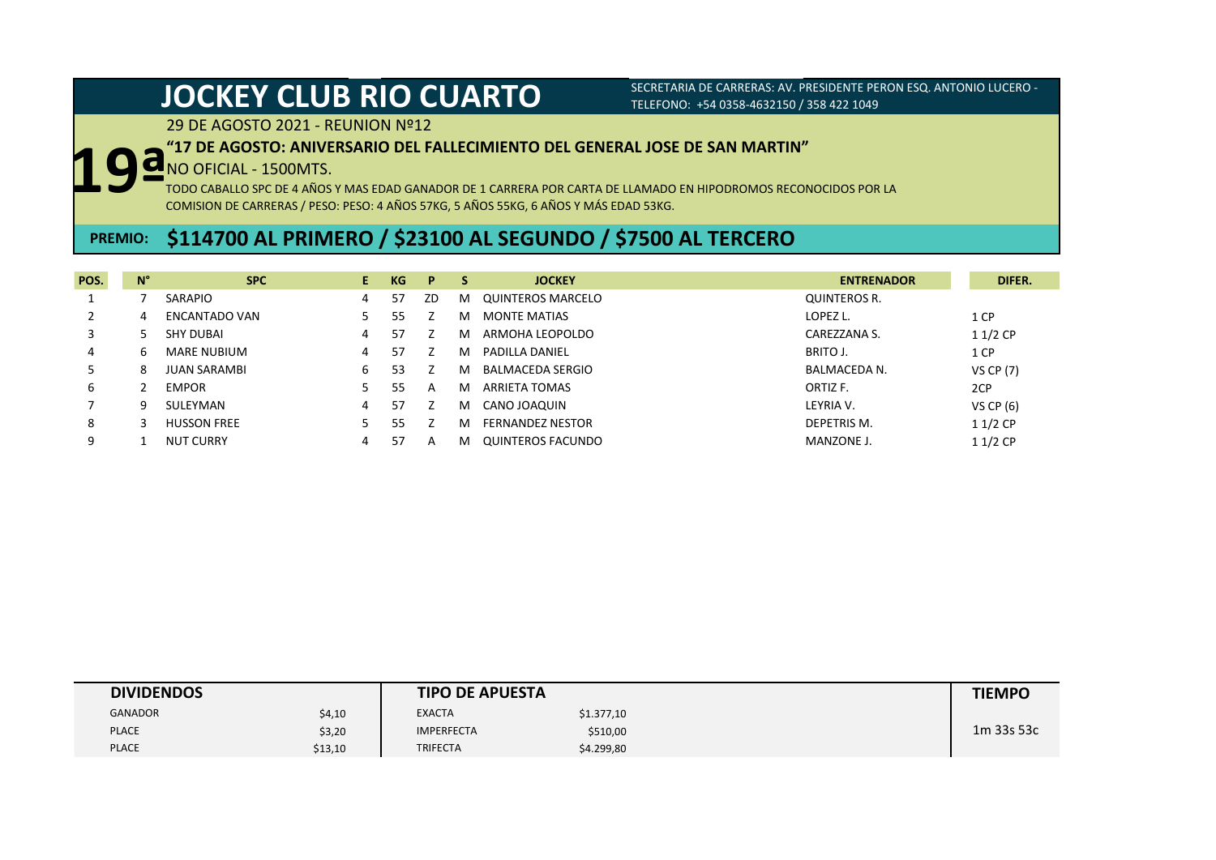29 DE AGOSTO 2021 - REUNION Nº12

### **"17 DE AGOSTO: ANIVERSARIO DEL FALLECIMIENTO DEL GENERAL JOSE DE SAN MARTIN"**

## NO OFICIAL - 1500MTS.

TODO CABALLO SPC DE 4 AÑOS Y MAS EDAD GANADOR DE 1 CARRERA POR CARTA DE LLAMADO EN HIPODROMOS RECONOCIDOS POR LA COMISION DE CARRERAS / PESO: PESO: 4 AÑOS 57KG, 5 AÑOS 55KG, 6 AÑOS Y MÁS EDAD 53KG. **19ª**

# **PREMIO: \$114700 AL PRIMERO / \$23100 AL SEGUNDO / \$7500 AL TERCERO**

| POS. | $N^{\circ}$ | <b>SPC</b>           | E. | KG | P  | <b>S</b> | <b>JOCKEY</b>            | <b>ENTRENADOR</b>   | DIFER.           |
|------|-------------|----------------------|----|----|----|----------|--------------------------|---------------------|------------------|
|      |             | SARAPIO              | 4  | 57 | ZD | M        | <b>QUINTEROS MARCELO</b> | <b>QUINTEROS R.</b> |                  |
|      | 4           | <b>ENCANTADO VAN</b> |    | 55 |    | м        | <b>MONTE MATIAS</b>      | LOPEZ L.            | 1 CP             |
|      |             | <b>SHY DUBAI</b>     | 4  | 57 |    | м        | ARMOHA LEOPOLDO          | CAREZZANA S.        | $11/2$ CP        |
| 4    | 6           | <b>MARE NUBIUM</b>   | 4  | 57 |    | м        | PADILLA DANIEL           | BRITO J.            | 1 CP             |
| ל    | 8           | <b>JUAN SARAMBI</b>  | 6  | 53 |    | м        | <b>BALMACEDA SERGIO</b>  | <b>BALMACEDA N.</b> | <b>VS CP (7)</b> |
| 6    |             | <b>EMPOR</b>         |    | 55 | А  | M        | ARRIETA TOMAS            | ORTIZ F.            | 2CP              |
|      | q           | SULEYMAN             | 4  | 57 |    | м        | CANO JOAQUIN             | LEYRIA V.           | VS CP (6)        |
| 8    |             | <b>HUSSON FREE</b>   |    | 55 |    | м        | <b>FERNANDEZ NESTOR</b>  | DEPETRIS M.         | $11/2$ CP        |
| 9    |             | <b>NUT CURRY</b>     | 4  | 57 | А  | м        | QUINTEROS FACUNDO        | MANZONE J.          | $11/2$ CP        |

| <b>DIVIDENDOS</b> |         | <b>TIPO DE APUESTA</b> | <b>TIEMPO</b> |  |            |
|-------------------|---------|------------------------|---------------|--|------------|
| <b>GANADOR</b>    | \$4,10  | <b>EXACTA</b>          | \$1.377,10    |  |            |
| <b>PLACE</b>      | \$3,20  | <b>IMPERFECTA</b>      | \$510,00      |  | 1m 33s 53c |
| <b>PLACE</b>      | \$13,10 | <b>TRIFECTA</b>        | \$4.299,80    |  |            |